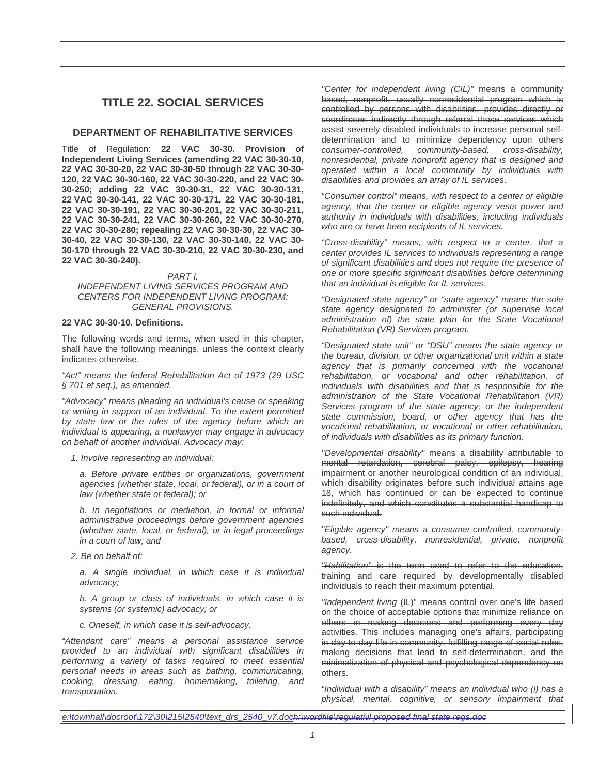# **TITLE 22. SOCIAL SERVICES**

# **DEPARTMENT OF REHABILITATIVE SERVICES**

Title of Regulation: **22 VAC 30-30. Provision of Independent Living Services (amending 22 VAC 30-30-10, 22 VAC 30-30-20, 22 VAC 30-30-50 through 22 VAC 30-30- 120, 22 VAC 30-30-160, 22 VAC 30-30-220, and 22 VAC 30- 30-250; adding 22 VAC 30-30-31, 22 VAC 30-30-131, 22 VAC 30-30-141, 22 VAC 30-30-171, 22 VAC 30-30-181, 22 VAC 30-30-191, 22 VAC 30-30-201, 22 VAC 30-30-211, 22 VAC 30-30-241, 22 VAC 30-30-260, 22 VAC 30-30-270, 22 VAC 30-30-280; repealing 22 VAC 30-30-30, 22 VAC 30- 30-40, 22 VAC 30-30-130, 22 VAC 30-30-140, 22 VAC 30- 30-170 through 22 VAC 30-30-210, 22 VAC 30-30-230, and 22 VAC 30-30-240).**

#### PART I.

#### INDEPENDENT LIVING SERVICES PROGRAM AND CENTERS FOR INDEPENDENT LIVING PROGRAM: GENERAL PROVISIONS.

## **22 VAC 30-30-10. Definitions.**

The following words and terms, when used in this chapter, shall have the following meanings, unless the context clearly indicates otherwise.

"Act" means the federal Rehabilitation Act of 1973 (29 USC § 701 et seq.), as amended.

"Advocacy" means pleading an individual's cause or speaking or writing in support of an individual. To the extent permitted by state law or the rules of the agency before which an individual is appearing, a nonlawyer may engage in advocacy on behalf of another individual. Advocacy may:

1. Involve representing an individual:

a. Before private entities or organizations, government agencies (whether state, local, or federal), or in a court of law (whether state or federal); or

b. In negotiations or mediation, in formal or informal administrative proceedings before government agencies (whether state, local, or federal), or in legal proceedings in a court of law; and

2. Be on behalf of:

a. A single individual, in which case it is individual advocacy;

b. A group or class of individuals, in which case it is systems (or systemic) advocacy; or

c. Oneself, in which case it is self-advocacy.

"Attendant care" means a personal assistance service provided to an individual with significant disabilities in performing a variety of tasks required to meet essential personal needs in areas such as bathing, communicating, cooking, dressing, eating, homemaking, toileting, and transportation.

"Center for independent living (CIL)" means a community based, nonprofit, usually nonresidential program which is controlled by persons with disabilities, provides directly or coordinates indirectly through referral those services which assist severely disabled individuals to increase personal selfdetermination and to minimize dependency upon others consumer-controlled, community-based, cross-disability, nonresidential, private nonprofit agency that is designed and operated within a local community by individuals with disabilities and provides an array of IL services.

"Consumer control" means, with respect to a center or eligible agency, that the center or eligible agency vests power and authority in individuals with disabilities, including individuals who are or have been recipients of IL services.

"Cross-disability" means, with respect to a center, that a center provides IL services to individuals representing a range of significant disabilities and does not require the presence of one or more specific significant disabilities before determining that an individual is eligible for IL services.

"Designated state agency" or "state agency" means the sole state agency designated to administer (or supervise local administration of) the state plan for the State Vocational Rehabilitation (VR) Services program.

"Designated state unit" or "DSU" means the state agency or the bureau, division, or other organizational unit within a state agency that is primarily concerned with the vocational rehabilitation, or vocational and other rehabilitation, of individuals with disabilities and that is responsible for the administration of the State Vocational Rehabilitation (VR) Services program of the state agency; or the independent state commission, board, or other agency that has the vocational rehabilitation, or vocational or other rehabilitation, of individuals with disabilities as its primary function.

"Developmental disability" means a disability attributable to mental retardation, cerebral palsy, epilepsy, hearing impairment or another neurological condition of an individual, which disability originates before such individual attains age 18, which has continued or can be expected to continue indefinitely, and which constitutes a substantial handicap to such individual.

"Eligible agency" means a consumer-controlled, communitybased, cross-disability, nonresidential, private, nonprofit agency.

"Habilitation" is the term used to refer to the education, training and care required by developmentally disabled individuals to reach their maximum potential.

"Independent living (IL)" means control over one's life based on the choice of acceptable options that minimize reliance on others in making decisions and performing every day activities. This includes managing one's affairs, participating in day-to-day life in community, fulfilling range of social roles, making decisions that lead to self-determination, and the minimalization of physical and psychological dependency on others.

"Individual with a disability" means an individual who (i) has a physical, mental, cognitive, or sensory impairment that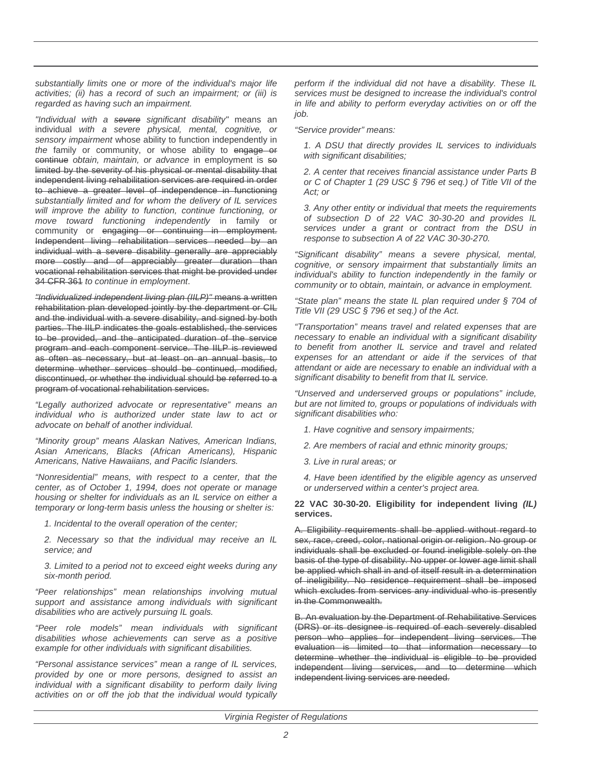substantially limits one or more of the individual's major life activities; (ii) has a record of such an impairment; or (iii) is regarded as having such an impairment.

"Individual with a severe significant disability" means an individual with a severe physical, mental, cognitive, or sensory impairment whose ability to function independently in the family or community, or whose ability to engage or continue obtain, maintain, or advance in employment is so limited by the severity of his physical or mental disability that independent living rehabilitation services are required in order to achieve a greater level of independence in functioning substantially limited and for whom the delivery of IL services will improve the ability to function, continue functioning, or move toward functioning independently in family or community or engaging or continuing in employment. Independent living rehabilitation services needed by an individual with a severe disability generally are appreciably more costly and of appreciably greater duration than vocational rehabilitation services that might be provided under 34 CFR 361 to continue in employment.

"Individualized independent living plan (IILP)" means a written rehabilitation plan developed jointly by the department or CIL and the individual with a severe disability, and signed by both parties. The IILP indicates the goals established, the services to be provided, and the anticipated duration of the service program and each component service. The IILP is reviewed as often as necessary, but at least on an annual basis, to determine whether services should be continued, modified, discontinued, or whether the individual should be referred to a program of vocational rehabilitation services.

"Legally authorized advocate or representative" means an individual who is authorized under state law to act or advocate on behalf of another individual.

"Minority group" means Alaskan Natives, American Indians, Asian Americans, Blacks (African Americans), Hispanic Americans, Native Hawaiians, and Pacific Islanders.

"Nonresidential" means, with respect to a center, that the center, as of October 1, 1994, does not operate or manage housing or shelter for individuals as an IL service on either a temporary or long-term basis unless the housing or shelter is:

1. Incidental to the overall operation of the center;

2. Necessary so that the individual may receive an IL service; and

3. Limited to a period not to exceed eight weeks during any six-month period.

"Peer relationships" mean relationships involving mutual support and assistance among individuals with significant disabilities who are actively pursuing IL goals.

"Peer role models" mean individuals with significant disabilities whose achievements can serve as a positive example for other individuals with significant disabilities.

"Personal assistance services" mean a range of IL services, provided by one or more persons, designed to assist an individual with a significant disability to perform daily living activities on or off the job that the individual would typically

perform if the individual did not have a disability. These IL services must be designed to increase the individual's control in life and ability to perform everyday activities on or off the job.

"Service provider" means:

1. A DSU that directly provides IL services to individuals with significant disabilities;

2. A center that receives financial assistance under Parts B or C of Chapter 1 (29 USC § 796 et seq.) of Title VII of the Act; or

3. Any other entity or individual that meets the requirements of subsection D of 22 VAC 30-30-20 and provides IL services under a grant or contract from the DSU in response to subsection A of 22 VAC 30-30-270.

"Significant disability" means a severe physical, mental, cognitive, or sensory impairment that substantially limits an individual's ability to function independently in the family or community or to obtain, maintain, or advance in employment.

"State plan" means the state IL plan required under § 704 of Title VII (29 USC § 796 et seq.) of the Act.

"Transportation" means travel and related expenses that are necessary to enable an individual with a significant disability to benefit from another IL service and travel and related expenses for an attendant or aide if the services of that attendant or aide are necessary to enable an individual with a significant disability to benefit from that IL service.

"Unserved and underserved groups or populations" include, but are not limited to, groups or populations of individuals with significant disabilities who:

- 1. Have cognitive and sensory impairments;
- 2. Are members of racial and ethnic minority groups;
- 3. Live in rural areas; or

4. Have been identified by the eligible agency as unserved or underserved within a center's project area.

**22 VAC 30-30-20. Eligibility for independent living (IL) services.**

A. Eligibility requirements shall be applied without regard to sex, race, creed, color, national origin or religion. No group or individuals shall be excluded or found ineligible solely on the basis of the type of disability. No upper or lower age limit shall be applied which shall in and of itself result in a determination of ineligibility. No residence requirement shall be imposed which excludes from services any individual who is presently in the Commonwealth.

B. An evaluation by the Department of Rehabilitative Services (DRS) or its designee is required of each severely disabled person who applies for independent living services. The evaluation is limited to that information necessary to determine whether the individual is eligible to be provided independent living services, and to determine which independent living services are needed.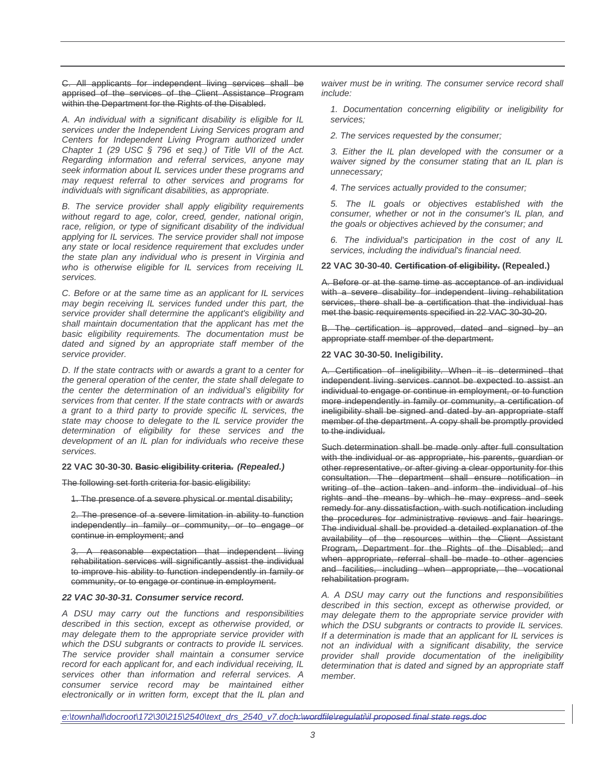C. All applicants for independent living services shall be apprised of the services of the Client Assistance Program within the Department for the Rights of the Disabled.

A. An individual with a significant disability is eligible for IL services under the Independent Living Services program and Centers for Independent Living Program authorized under Chapter 1 (29 USC § 796 et seq.) of Title VII of the Act. Regarding information and referral services, anyone may seek information about IL services under these programs and may request referral to other services and programs for individuals with significant disabilities, as appropriate.

B. The service provider shall apply eligibility requirements without regard to age, color, creed, gender, national origin, race, religion, or type of significant disability of the individual applying for IL services. The service provider shall not impose any state or local residence requirement that excludes under the state plan any individual who is present in Virginia and who is otherwise eligible for IL services from receiving IL services.

C. Before or at the same time as an applicant for IL services may begin receiving IL services funded under this part, the service provider shall determine the applicant's eligibility and shall maintain documentation that the applicant has met the basic eligibility requirements. The documentation must be dated and signed by an appropriate staff member of the service provider.

D. If the state contracts with or awards a grant to a center for the general operation of the center, the state shall delegate to the center the determination of an individual's eligibility for services from that center. If the state contracts with or awards a grant to a third party to provide specific IL services, the state may choose to delegate to the IL service provider the determination of eligibility for these services and the development of an IL plan for individuals who receive these services.

#### **22 VAC 30-30-30. Basic eligibility criteria. (Repealed.)**

The following set forth criteria for basic eligibility:

1. The presence of a severe physical or mental disability;

2. The presence of a severe limitation in ability to function independently in family or community, or to engage or continue in employment; and

3. A reasonable expectation that independent living rehabilitation services will significantly assist the individual to improve his ability to function independently in family or community, or to engage or continue in employment.

#### **22 VAC 30-30-31. Consumer service record.**

A DSU may carry out the functions and responsibilities described in this section, except as otherwise provided, or may delegate them to the appropriate service provider with which the DSU subgrants or contracts to provide IL services. The service provider shall maintain a consumer service record for each applicant for, and each individual receiving, IL services other than information and referral services. A consumer service record may be maintained either electronically or in written form, except that the IL plan and

waiver must be in writing. The consumer service record shall include:

1. Documentation concerning eligibility or ineligibility for services;

2. The services requested by the consumer;

3. Either the IL plan developed with the consumer or a waiver signed by the consumer stating that an IL plan is unnecessary;

4. The services actually provided to the consumer;

5. The IL goals or objectives established with the consumer, whether or not in the consumer's IL plan, and the goals or objectives achieved by the consumer; and

6. The individual's participation in the cost of any IL services, including the individual's financial need.

#### **22 VAC 30-30-40. Certification of eligibility. (Repealed.)**

A. Before or at the same time as acceptance of an individual with a severe disability for independent living rehabilitation services, there shall be a certification that the individual has met the basic requirements specified in 22 VAC 30-30-20.

B. The certification is approved, dated and signed by an appropriate staff member of the department.

#### **22 VAC 30-30-50. Ineligibility.**

A. Certification of ineligibility. When it is determined that independent living services cannot be expected to assist an individual to engage or continue in employment, or to function more independently in family or community, a certification of ineligibility shall be signed and dated by an appropriate staff member of the department. A copy shall be promptly provided to the individual.

Such determination shall be made only after full consultation with the individual or as appropriate, his parents, guardian or other representative, or after giving a clear opportunity for this consultation. The department shall ensure notification in writing of the action taken and inform the individual of his rights and the means by which he may express and seek remedy for any dissatisfaction, with such notification including the procedures for administrative reviews and fair hearings. The individual shall be provided a detailed explanation of the availability of the resources within the Client Assistant Program, Department for the Rights of the Disabled; and when appropriate, referral shall be made to other agencies and facilities, including when appropriate, the vocational rehabilitation program.

A. A DSU may carry out the functions and responsibilities described in this section, except as otherwise provided, or may delegate them to the appropriate service provider with which the DSU subgrants or contracts to provide IL services. If a determination is made that an applicant for IL services is not an individual with a significant disability, the service provider shall provide documentation of the ineligibility determination that is dated and signed by an appropriate staff member.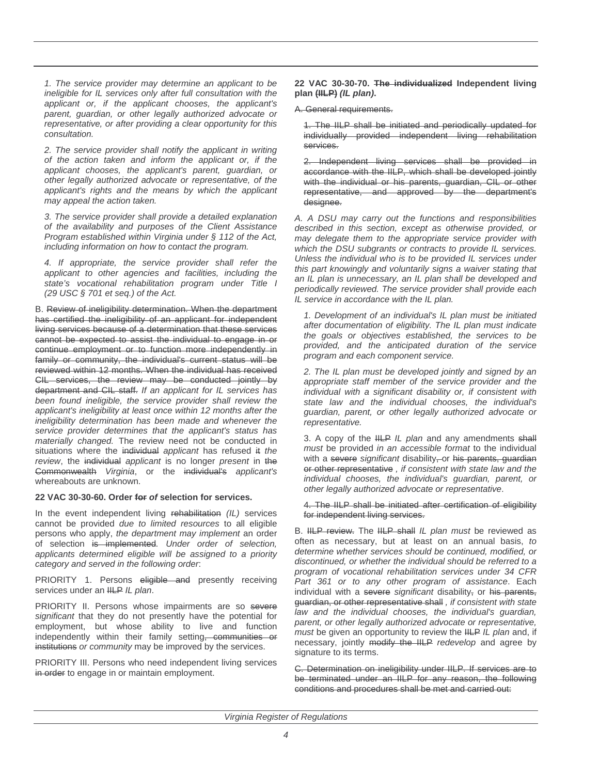1. The service provider may determine an applicant to be ineligible for IL services only after full consultation with the applicant or, if the applicant chooses, the applicant's parent, guardian, or other legally authorized advocate or representative, or after providing a clear opportunity for this consultation.

2. The service provider shall notify the applicant in writing of the action taken and inform the applicant or, if the applicant chooses, the applicant's parent, guardian, or other legally authorized advocate or representative, of the applicant's rights and the means by which the applicant may appeal the action taken.

3. The service provider shall provide a detailed explanation of the availability and purposes of the Client Assistance Program established within Virginia under § 112 of the Act, including information on how to contact the program.

4. If appropriate, the service provider shall refer the applicant to other agencies and facilities, including the state's vocational rehabilitation program under Title I (29 USC § 701 et seq.) of the Act.

B. Review of ineligibility determination. When the department has certified the ineligibility of an applicant for independent living services because of a determination that these services cannot be expected to assist the individual to engage in or continue employment or to function more independently in family or community, the individual's current status will be reviewed within 12 months. When the individual has received CIL services, the review may be conducted jointly by department and CIL staff. If an applicant for IL services has been found ineligible, the service provider shall review the applicant's ineligibility at least once within 12 months after the ineligibility determination has been made and whenever the service provider determines that the applicant's status has materially changed. The review need not be conducted in situations where the individual applicant has refused it the review, the individual applicant is no longer present in the Commonwealth Virginia, or the individual's applicant's whereabouts are unknown.

#### **22 VAC 30-30-60. Order for of selection for services.**

In the event independent living rehabilitation (IL) services cannot be provided due to limited resources to all eligible persons who apply, the department may implement an order of selection is implemented. Under order of selection, applicants determined eligible will be assigned to a priority category and served in the following order:

PRIORITY 1. Persons eligible and presently receiving services under an IILP IL plan.

PRIORITY II. Persons whose impairments are so severe significant that they do not presently have the potential for employment, but whose ability to live and function independently within their family setting, communities or institutions or community may be improved by the services.

PRIORITY III. Persons who need independent living services in order to engage in or maintain employment.

**22 VAC 30-30-70. The individualized Independent living plan (IILP) (IL plan).**

# A. General requirements.

1. The IILP shall be initiated and periodically updated for individually provided independent living rehabilitation services.

2. Independent living services shall be provided in accordance with the IILP, which shall be developed jointly with the individual or his parents, guardian, CIL or other representative, and approved by the department's designee.

A. A DSU may carry out the functions and responsibilities described in this section, except as otherwise provided, or may delegate them to the appropriate service provider with which the DSU subgrants or contracts to provide IL services. Unless the individual who is to be provided IL services under this part knowingly and voluntarily signs a waiver stating that an IL plan is unnecessary, an IL plan shall be developed and periodically reviewed. The service provider shall provide each IL service in accordance with the IL plan.

1. Development of an individual's IL plan must be initiated after documentation of eligibility. The IL plan must indicate the goals or objectives established, the services to be provided, and the anticipated duration of the service program and each component service.

2. The IL plan must be developed jointly and signed by an appropriate staff member of the service provider and the individual with a significant disability or, if consistent with state law and the individual chooses, the individual's guardian, parent, or other legally authorized advocate or representative.

3. A copy of the HLP IL plan and any amendments shall must be provided in an accessible format to the individual with a severe significant disability, or his parents, guardian or other representative , if consistent with state law and the individual chooses, the individual's guardian, parent, or other legally authorized advocate or representative.

# 4. The IILP shall be initiated after certification of eligibility for independent living services.

B. HLP review. The HLP shall IL plan must be reviewed as often as necessary, but at least on an annual basis, to determine whether services should be continued, modified, or discontinued, or whether the individual should be referred to a program of vocational rehabilitation services under 34 CFR Part 361 or to any other program of assistance. Each individual with a severe significant disability, or his parents, guardian, or other representative shall , if consistent with state law and the individual chooses, the individual's guardian, parent, or other legally authorized advocate or representative, must be given an opportunity to review the IILP IL plan and, if necessary, jointly modify the IILP redevelop and agree by signature to its terms.

C. Determination on ineligibility under IILP. If services are to be terminated under an IILP for any reason, the following conditions and procedures shall be met and carried out: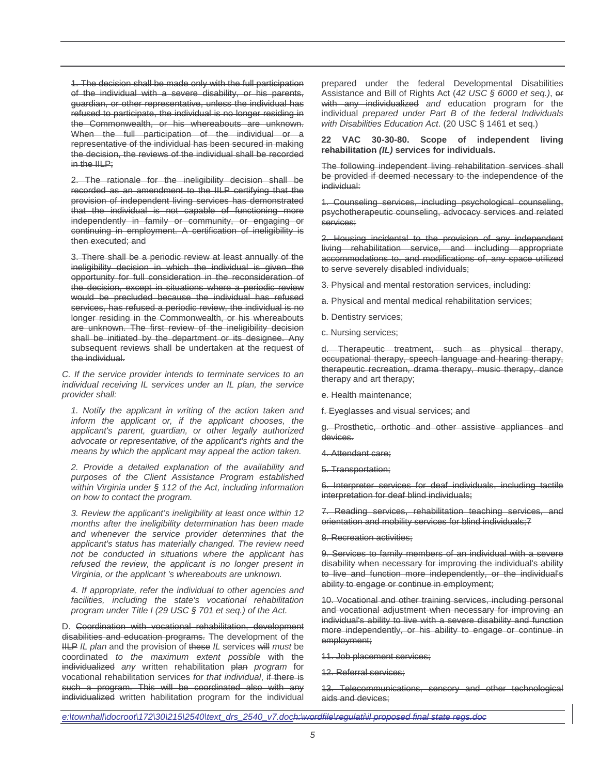1. The decision shall be made only with the full participation of the individual with a severe disability, or his parents, guardian, or other representative, unless the individual has refused to participate, the individual is no longer residing in the Commonwealth, or his whereabouts are unknown. When the full participation of the individual or a representative of the individual has been secured in making the decision, the reviews of the individual shall be recorded in the IILP;

2. The rationale for the ineligibility decision shall be recorded as an amendment to the IILP certifying that the provision of independent living services has demonstrated that the individual is not capable of functioning more independently in family or community, or engaging or continuing in employment. A certification of ineligibility is then executed; and

3. There shall be a periodic review at least annually of the ineligibility decision in which the individual is given the opportunity for full consideration in the reconsideration of the decision, except in situations where a periodic review would be precluded because the individual has refused services, has refused a periodic review, the individual is no longer residing in the Commonwealth, or his whereabouts are unknown. The first review of the ineligibility decision shall be initiated by the department or its designee. Any subsequent reviews shall be undertaken at the request of the individual.

C. If the service provider intends to terminate services to an individual receiving IL services under an IL plan, the service provider shall:

1. Notify the applicant in writing of the action taken and inform the applicant or, if the applicant chooses, the applicant's parent, guardian, or other legally authorized advocate or representative, of the applicant's rights and the means by which the applicant may appeal the action taken.

2. Provide a detailed explanation of the availability and purposes of the Client Assistance Program established within Virginia under § 112 of the Act, including information on how to contact the program.

3. Review the applicant's ineligibility at least once within 12 months after the ineligibility determination has been made and whenever the service provider determines that the applicant's status has materially changed. The review need not be conducted in situations where the applicant has refused the review, the applicant is no longer present in Virginia, or the applicant 's whereabouts are unknown.

4. If appropriate, refer the individual to other agencies and facilities, including the state's vocational rehabilitation program under Title I (29 USC § 701 et seq.) of the Act.

D. Coordination with vocational rehabilitation, development disabilities and education programs. The development of the IILP IL plan and the provision of these IL services will must be coordinated to the maximum extent possible with the individualized any written rehabilitation plan program for vocational rehabilitation services for that individual, if there is such a program. This will be coordinated also with any individualized written habilitation program for the individual

prepared under the federal Developmental Disabilities Assistance and Bill of Rights Act (42 USC § 6000 et seq.), or with any individualized and education program for the individual prepared under Part B of the federal Individuals with Disabilities Education Act. (20 USC § 1461 et seq.)

**22 VAC 30-30-80. Scope of independent living rehabilitation (IL) services for individuals.**

The following independent living rehabilitation services shall be provided if deemed necessary to the independence of the individual:

1. Counseling services, including psychological counseling, psychotherapeutic counseling, advocacy services and related services;

2. Housing incidental to the provision of any independent living rehabilitation service, and including appropriate accommodations to, and modifications of, any space utilized to serve severely disabled individuals;

3. Physical and mental restoration services, including:

a. Physical and mental medical rehabilitation services;

b. Dentistry services;

c. Nursing services;

d. Therapeutic treatment, such as physical therapy, occupational therapy, speech language and hearing therapy, therapeutic recreation, drama therapy, music therapy, dance therapy and art therapy;

e. Health maintenance;

f. Eyeglasses and visual services; and

g. Prosthetic, orthotic and other assistive appliances and devices.

4. Attendant care;

5. Transportation;

6. Interpreter services for deaf individuals, including tactile interpretation for deaf blind individuals;

7. Reading services, rehabilitation teaching services, and orientation and mobility services for blind individuals;7

8. Recreation activities;

9. Services to family members of an individual with a severe disability when necessary for improving the individual's ability to live and function more independently, or the individual's ability to engage or continue in employment;

10. Vocational and other training services, including personal and vocational adjustment when necessary for improving an individual's ability to live with a severe disability and function more independently, or his ability to engage or continue in employment;

11. Job placement services;

12. Referral services;

13. Telecommunications, sensory and other technological aids and devices;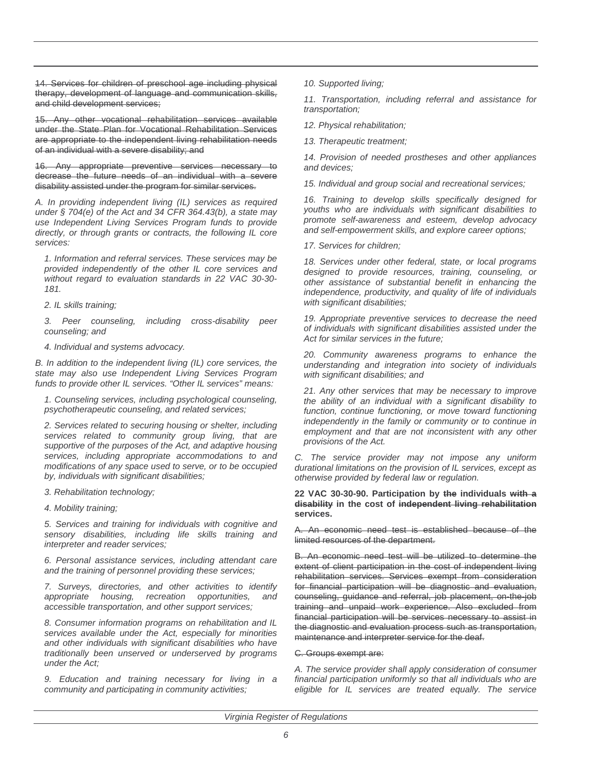14. Services for children of preschool age including physical therapy, development of language and communication skills, and child development services;

15. Any other vocational rehabilitation services available under the State Plan for Vocational Rehabilitation Services are appropriate to the independent living rehabilitation needs of an individual with a severe disability; and

16. Any appropriate preventive services necessary to decrease the future needs of an individual with a severe disability assisted under the program for similar services.

A. In providing independent living (IL) services as required under § 704(e) of the Act and 34 CFR 364.43(b), a state may use Independent Living Services Program funds to provide directly, or through grants or contracts, the following IL core services:

1. Information and referral services. These services may be provided independently of the other IL core services and without regard to evaluation standards in 22 VAC 30-30- 181.

2. IL skills training;

3. Peer counseling, including cross-disability peer counseling; and

4. Individual and systems advocacy.

B. In addition to the independent living (IL) core services, the state may also use Independent Living Services Program funds to provide other IL services. "Other IL services" means:

1. Counseling services, including psychological counseling, psychotherapeutic counseling, and related services;

2. Services related to securing housing or shelter, including services related to community group living, that are supportive of the purposes of the Act, and adaptive housing services, including appropriate accommodations to and modifications of any space used to serve, or to be occupied by, individuals with significant disabilities;

3. Rehabilitation technology;

4. Mobility training;

5. Services and training for individuals with cognitive and sensory disabilities, including life skills training and interpreter and reader services;

6. Personal assistance services, including attendant care and the training of personnel providing these services;

7. Surveys, directories, and other activities to identify appropriate housing, recreation opportunities, and accessible transportation, and other support services;

8. Consumer information programs on rehabilitation and IL services available under the Act, especially for minorities and other individuals with significant disabilities who have traditionally been unserved or underserved by programs under the Act;

9. Education and training necessary for living in a community and participating in community activities;

10. Supported living;

11. Transportation, including referral and assistance for transportation;

12. Physical rehabilitation;

13. Therapeutic treatment;

14. Provision of needed prostheses and other appliances and devices;

15. Individual and group social and recreational services;

16. Training to develop skills specifically designed for youths who are individuals with significant disabilities to promote self-awareness and esteem, develop advocacy and self-empowerment skills, and explore career options;

17. Services for children;

18. Services under other federal, state, or local programs designed to provide resources, training, counseling, or other assistance of substantial benefit in enhancing the independence, productivity, and quality of life of individuals with significant disabilities;

19. Appropriate preventive services to decrease the need of individuals with significant disabilities assisted under the Act for similar services in the future;

20. Community awareness programs to enhance the understanding and integration into society of individuals with significant disabilities; and

21. Any other services that may be necessary to improve the ability of an individual with a significant disability to function, continue functioning, or move toward functioning independently in the family or community or to continue in employment and that are not inconsistent with any other provisions of the Act.

C. The service provider may not impose any uniform durational limitations on the provision of IL services, except as otherwise provided by federal law or regulation.

## **22 VAC 30-30-90. Participation by the individuals with a disability in the cost of independent living rehabilitation services.**

A. An economic need test is established because of the limited resources of the department.

B. An economic need test will be utilized to determine the extent of client participation in the cost of independent living rehabilitation services. Services exempt from consideration for financial participation will be diagnostic and evaluation, counseling, guidance and referral, job placement, on-the-job training and unpaid work experience. Also excluded from financial participation will be services necessary to assist in the diagnostic and evaluation process such as transportation, maintenance and interpreter service for the deaf.

C. Groups exempt are:

A. The service provider shall apply consideration of consumer financial participation uniformly so that all individuals who are eligible for IL services are treated equally. The service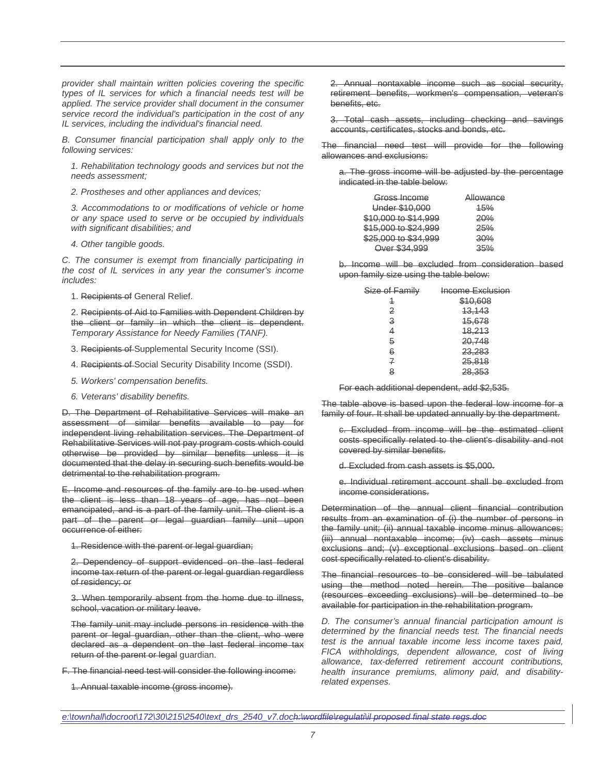provider shall maintain written policies covering the specific types of IL services for which a financial needs test will be applied. The service provider shall document in the consumer service record the individual's participation in the cost of any IL services, including the individual's financial need.

B. Consumer financial participation shall apply only to the following services:

1. Rehabilitation technology goods and services but not the needs assessment;

2. Prostheses and other appliances and devices;

3. Accommodations to or modifications of vehicle or home or any space used to serve or be occupied by individuals with significant disabilities; and

4. Other tangible goods.

C. The consumer is exempt from financially participating in the cost of IL services in any year the consumer's income includes:

1. Recipients of General Relief.

2. Recipients of Aid to Families with Dependent Children by the client or family in which the client is dependent. Temporary Assistance for Needy Families (TANF).

- 3. Recipients of Supplemental Security Income (SSI).
- 4. Recipients of Social Security Disability Income (SSDI).
- 5. Workers' compensation benefits.
- 6. Veterans' disability benefits.

D. The Department of Rehabilitative Services will make an assessment of similar benefits available to pay for independent living rehabilitation services. The Department of Rehabilitative Services will not pay program costs which could otherwise be provided by similar benefits unless it is documented that the delay in securing such benefits would be detrimental to the rehabilitation program.

E. Income and resources of the family are to be used when the client is less than 18 years of age, has not been emancipated, and is a part of the family unit. The client is a part of the parent or legal guardian family unit upon occurrence of either:

1. Residence with the parent or legal guardian;

2. Dependency of support evidenced on the last federal income tax return of the parent or legal guardian regardless of residency; or

3. When temporarily absent from the home due to illness, school, vacation or military leave.

The family unit may include persons in residence with the parent or legal guardian, other than the client, who were declared as a dependent on the last federal income tax return of the parent or legal guardian.

F. The financial need test will consider the following income:

1. Annual taxable income (gross income).

2. Annual nontaxable income such as social security, retirement benefits, workmen's compensation, veteran's benefits, etc.

3. Total cash assets, including checking and savings accounts, certificates, stocks and bonds, etc.

The financial need test will provide for the following allowances and exclusions:

a. The gross income will be adjusted by the percentage indicated in the table below:

| Gross Income         | Allowance      |
|----------------------|----------------|
| Under \$10,000       | 45%            |
| \$10,000 to \$14,999 | <del>20%</del> |
| \$15,000 to \$24,999 | <del>25%</del> |
| \$25,000 to \$34,999 | 30%            |
| Over \$34,999        | 35%            |

b. Income will be excluded from consideration based upon family size using the table below:

| <del>Income Exclusion</del> |
|-----------------------------|
| \$10,608                    |
| 43, 143                     |
| 45,678                      |
| <del>18,213</del>           |
| 20,748                      |
| 23,283                      |
| 25,818                      |
| 28,353                      |
|                             |

For each additional dependent, add \$2,535.

The table above is based upon the federal low income for a family of four. It shall be updated annually by the department.

c. Excluded from income will be the estimated client costs specifically related to the client's disability and not covered by similar benefits.

d. Excluded from cash assets is \$5,000.

e. Individual retirement account shall be excluded from income considerations.

Determination of the annual client financial contribution results from an examination of (i) the number of persons in the family unit; (ii) annual taxable income minus allowances; (iii) annual nontaxable income; (iv) cash assets minus exclusions and; (v) exceptional exclusions based on client cost specifically related to client's disability.

The financial resources to be considered will be tabulated using the method noted herein. The positive balance (resources exceeding exclusions) will be determined to be available for participation in the rehabilitation program.

D. The consumer's annual financial participation amount is determined by the financial needs test. The financial needs test is the annual taxable income less income taxes paid, FICA withholdings, dependent allowance, cost of living allowance, tax-deferred retirement account contributions, health insurance premiums, alimony paid, and disabilityrelated expenses.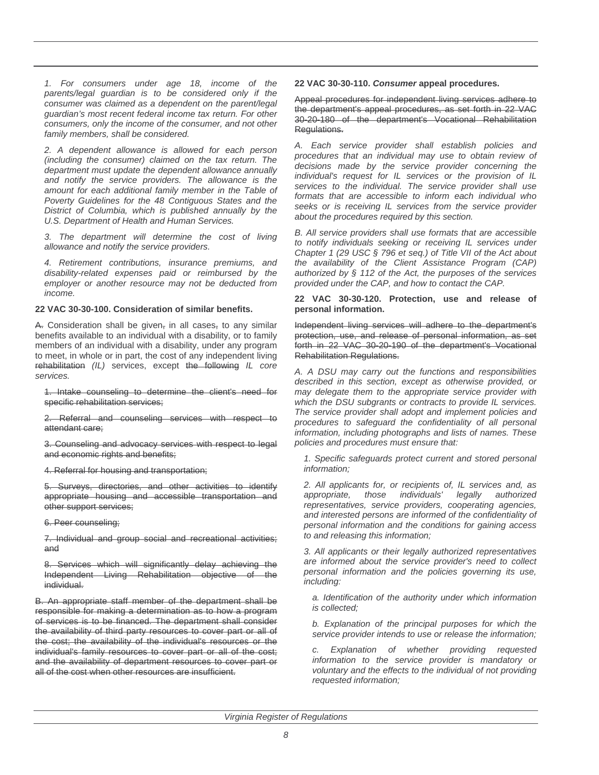1. For consumers under age 18, income of the parents/legal guardian is to be considered only if the consumer was claimed as a dependent on the parent/legal guardian's most recent federal income tax return. For other consumers, only the income of the consumer, and not other family members, shall be considered.

2. A dependent allowance is allowed for each person (including the consumer) claimed on the tax return. The department must update the dependent allowance annually and notify the service providers. The allowance is the amount for each additional family member in the Table of Poverty Guidelines for the 48 Contiguous States and the District of Columbia, which is published annually by the U.S. Department of Health and Human Services.

3. The department will determine the cost of living allowance and notify the service providers.

4. Retirement contributions, insurance premiums, and disability-related expenses paid or reimbursed by the employer or another resource may not be deducted from income.

# **22 VAC 30-30-100. Consideration of similar benefits.**

A. Consideration shall be given, in all cases, to any similar benefits available to an individual with a disability, or to family members of an individual with a disability, under any program to meet, in whole or in part, the cost of any independent living rehabilitation (IL) services, except the following IL core services.

1. Intake counseling to determine the client's need for specific rehabilitation services;

2. Referral and counseling services with respect to attendant care;

3. Counseling and advocacy services with respect to legal and economic rights and benefits;

4. Referral for housing and transportation;

5. Surveys, directories, and other activities to identify appropriate housing and accessible transportation and other support services;

6. Peer counseling;

7. Individual and group social and recreational activities; and

8. Services which will significantly delay achieving the Independent Living Rehabilitation objective of the individual.

B. An appropriate staff member of the department shall be responsible for making a determination as to how a program of services is to be financed. The department shall consider the availability of third party resources to cover part or all of the cost; the availability of the individual's resources or the individual's family resources to cover part or all of the cost; and the availability of department resources to cover part or all of the cost when other resources are insufficient.

**22 VAC 30-30-110. Consumer appeal procedures.**

Appeal procedures for independent living services adhere to the department's appeal procedures, as set forth in 22 VAC 30-20-180 of the department's Vocational Rehabilitation Regulations.

A. Each service provider shall establish policies and procedures that an individual may use to obtain review of decisions made by the service provider concerning the individual's request for IL services or the provision of IL services to the individual. The service provider shall use formats that are accessible to inform each individual who seeks or is receiving IL services from the service provider about the procedures required by this section.

B. All service providers shall use formats that are accessible to notify individuals seeking or receiving IL services under Chapter 1 (29 USC § 796 et seq.) of Title VII of the Act about the availability of the Client Assistance Program (CAP) authorized by § 112 of the Act, the purposes of the services provided under the CAP, and how to contact the CAP.

**22 VAC 30-30-120. Protection, use and release of personal information.**

Independent living services will adhere to the department's protection, use, and release of personal information, as set forth in 22 VAC 30-20-190 of the department's Vocational Rehabilitation Regulations.

A. A DSU may carry out the functions and responsibilities described in this section, except as otherwise provided, or may delegate them to the appropriate service provider with which the DSU subgrants or contracts to provide IL services. The service provider shall adopt and implement policies and procedures to safeguard the confidentiality of all personal information, including photographs and lists of names. These policies and procedures must ensure that:

1. Specific safeguards protect current and stored personal information;

2. All applicants for, or recipients of, IL services and, as appropriate, those individuals' legally authorized representatives, service providers, cooperating agencies, and interested persons are informed of the confidentiality of personal information and the conditions for gaining access to and releasing this information;

3. All applicants or their legally authorized representatives are informed about the service provider's need to collect personal information and the policies governing its use, including:

a. Identification of the authority under which information is collected;

b. Explanation of the principal purposes for which the service provider intends to use or release the information;

c. Explanation of whether providing requested information to the service provider is mandatory or voluntary and the effects to the individual of not providing requested information;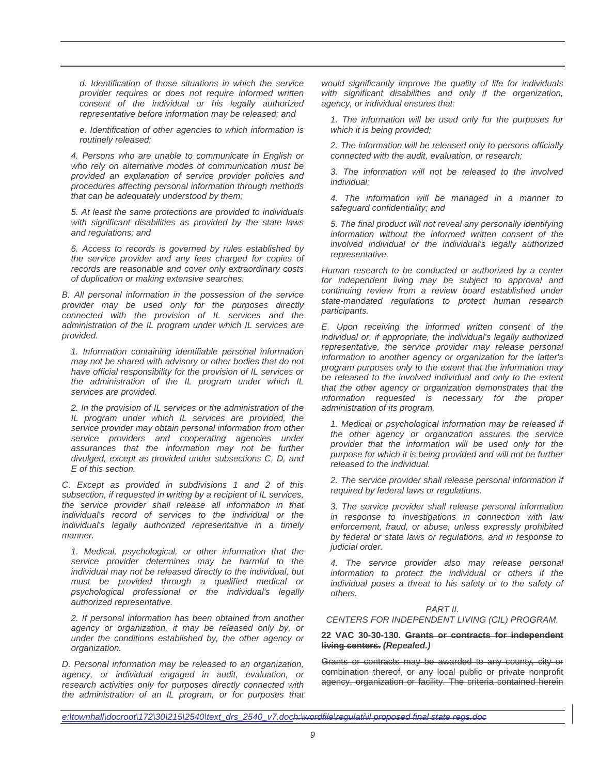d. Identification of those situations in which the service provider requires or does not require informed written consent of the individual or his legally authorized representative before information may be released; and

e. Identification of other agencies to which information is routinely released;

4. Persons who are unable to communicate in English or who rely on alternative modes of communication must be provided an explanation of service provider policies and procedures affecting personal information through methods that can be adequately understood by them;

5. At least the same protections are provided to individuals with significant disabilities as provided by the state laws and regulations; and

6. Access to records is governed by rules established by the service provider and any fees charged for copies of records are reasonable and cover only extraordinary costs of duplication or making extensive searches.

B. All personal information in the possession of the service provider may be used only for the purposes directly connected with the provision of IL services and the administration of the IL program under which IL services are provided.

1. Information containing identifiable personal information may not be shared with advisory or other bodies that do not have official responsibility for the provision of IL services or the administration of the IL program under which IL services are provided.

2. In the provision of IL services or the administration of the IL program under which IL services are provided, the service provider may obtain personal information from other service providers and cooperating agencies under assurances that the information may not be further divulged, except as provided under subsections C, D, and E of this section.

C. Except as provided in subdivisions 1 and 2 of this subsection, if requested in writing by a recipient of IL services, the service provider shall release all information in that individual's record of services to the individual or the individual's legally authorized representative in a timely manner.

1. Medical, psychological, or other information that the service provider determines may be harmful to the individual may not be released directly to the individual, but must be provided through a qualified medical or psychological professional or the individual's legally authorized representative.

2. If personal information has been obtained from another agency or organization, it may be released only by, or under the conditions established by, the other agency or organization.

D. Personal information may be released to an organization, agency, or individual engaged in audit, evaluation, or research activities only for purposes directly connected with the administration of an IL program, or for purposes that

would significantly improve the quality of life for individuals with significant disabilities and only if the organization, agency, or individual ensures that:

1. The information will be used only for the purposes for which it is being provided;

2. The information will be released only to persons officially connected with the audit, evaluation, or research;

3. The information will not be released to the involved individual;

4. The information will be managed in a manner to safeguard confidentiality; and

5. The final product will not reveal any personally identifying information without the informed written consent of the involved individual or the individual's legally authorized representative.

Human research to be conducted or authorized by a center for independent living may be subject to approval and continuing review from a review board established under state-mandated regulations to protect human research participants.

E. Upon receiving the informed written consent of the individual or, if appropriate, the individual's legally authorized representative, the service provider may release personal information to another agency or organization for the latter's program purposes only to the extent that the information may be released to the involved individual and only to the extent that the other agency or organization demonstrates that the information requested is necessary for the proper administration of its program.

1. Medical or psychological information may be released if the other agency or organization assures the service provider that the information will be used only for the purpose for which it is being provided and will not be further released to the individual.

2. The service provider shall release personal information if required by federal laws or regulations.

3. The service provider shall release personal information in response to investigations in connection with law enforcement, fraud, or abuse, unless expressly prohibited by federal or state laws or regulations, and in response to judicial order.

4. The service provider also may release personal information to protect the individual or others if the individual poses a threat to his safety or to the safety of others.

# PART II.

#### CENTERS FOR INDEPENDENT LIVING (CIL) PROGRAM.

#### **22 VAC 30-30-130. Grants or contracts for independent living centers. (Repealed.)**

Grants or contracts may be awarded to any county, city or combination thereof, or any local public or private nonprofit agency, organization or facility. The criteria contained herein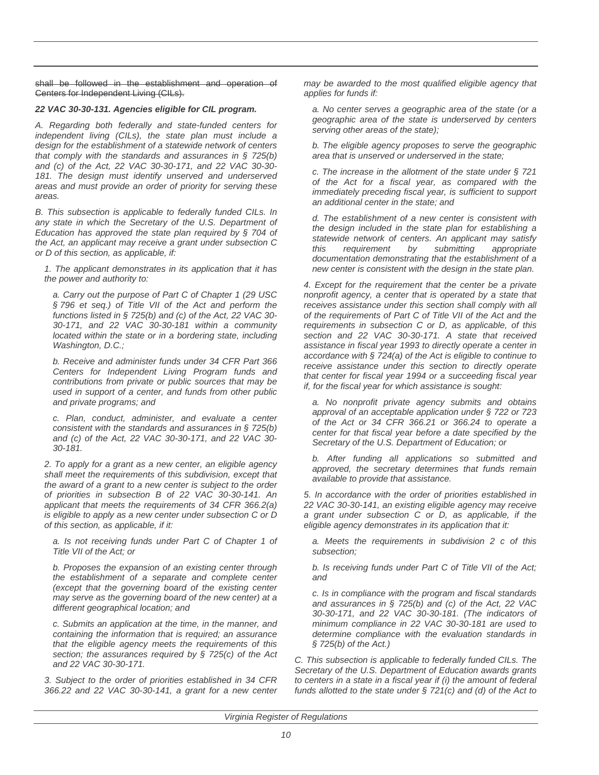shall be followed in the establishment and operation of Centers for Independent Living (CILs).

# **22 VAC 30-30-131. Agencies eligible for CIL program.**

A. Regarding both federally and state-funded centers for independent living (CILs), the state plan must include a design for the establishment of a statewide network of centers that comply with the standards and assurances in  $\S$  725(b) and (c) of the Act, 22 VAC 30-30-171, and 22 VAC 30-30- 181. The design must identify unserved and underserved areas and must provide an order of priority for serving these areas.

B. This subsection is applicable to federally funded CILs. In any state in which the Secretary of the U.S. Department of Education has approved the state plan required by § 704 of the Act, an applicant may receive a grant under subsection C or D of this section, as applicable, if:

1. The applicant demonstrates in its application that it has the power and authority to:

a. Carry out the purpose of Part C of Chapter 1 (29 USC § 796 et seq.) of Title VII of the Act and perform the functions listed in § 725(b) and (c) of the Act, 22 VAC 30- 30-171, and 22 VAC 30-30-181 within a community located within the state or in a bordering state, including Washington, D.C.;

b. Receive and administer funds under 34 CFR Part 366 Centers for Independent Living Program funds and contributions from private or public sources that may be used in support of a center, and funds from other public and private programs; and

c. Plan, conduct, administer, and evaluate a center consistent with the standards and assurances in § 725(b) and (c) of the Act, 22 VAC 30-30-171, and 22 VAC 30- 30-181.

2. To apply for a grant as a new center, an eligible agency shall meet the requirements of this subdivision, except that the award of a grant to a new center is subject to the order of priorities in subsection B of 22 VAC 30-30-141. An applicant that meets the requirements of 34 CFR 366.2(a) is eligible to apply as a new center under subsection C or D of this section, as applicable, if it:

a. Is not receiving funds under Part C of Chapter 1 of Title VII of the Act; or

b. Proposes the expansion of an existing center through the establishment of a separate and complete center (except that the governing board of the existing center may serve as the governing board of the new center) at a different geographical location; and

c. Submits an application at the time, in the manner, and containing the information that is required; an assurance that the eligible agency meets the requirements of this section; the assurances required by  $\S$  725(c) of the Act and 22 VAC 30-30-171.

3. Subject to the order of priorities established in 34 CFR 366.22 and 22 VAC 30-30-141, a grant for a new center may be awarded to the most qualified eligible agency that applies for funds if:

a. No center serves a geographic area of the state (or a geographic area of the state is underserved by centers serving other areas of the state);

b. The eligible agency proposes to serve the geographic area that is unserved or underserved in the state;

c. The increase in the allotment of the state under § 721 of the Act for a fiscal year, as compared with the immediately preceding fiscal year, is sufficient to support an additional center in the state; and

d. The establishment of a new center is consistent with the design included in the state plan for establishing a statewide network of centers. An applicant may satisfy this requirement by submitting appropriate documentation demonstrating that the establishment of a new center is consistent with the design in the state plan.

4. Except for the requirement that the center be a private nonprofit agency, a center that is operated by a state that receives assistance under this section shall comply with all of the requirements of Part C of Title VII of the Act and the requirements in subsection C or D, as applicable, of this section and 22 VAC 30-30-171. A state that received assistance in fiscal year 1993 to directly operate a center in accordance with § 724(a) of the Act is eligible to continue to receive assistance under this section to directly operate that center for fiscal year 1994 or a succeeding fiscal year if, for the fiscal year for which assistance is sought:

a. No nonprofit private agency submits and obtains approval of an acceptable application under § 722 or 723 of the Act or 34 CFR 366.21 or 366.24 to operate a center for that fiscal year before a date specified by the Secretary of the U.S. Department of Education; or

b. After funding all applications so submitted and approved, the secretary determines that funds remain available to provide that assistance.

5. In accordance with the order of priorities established in 22 VAC 30-30-141, an existing eligible agency may receive a grant under subsection C or D, as applicable, if the eligible agency demonstrates in its application that it:

a. Meets the requirements in subdivision 2 c of this subsection;

b. Is receiving funds under Part C of Title VII of the Act; and

c. Is in compliance with the program and fiscal standards and assurances in  $\S$  725(b) and (c) of the Act, 22 VAC 30-30-171, and 22 VAC 30-30-181. (The indicators of minimum compliance in 22 VAC 30-30-181 are used to determine compliance with the evaluation standards in § 725(b) of the Act.)

C. This subsection is applicable to federally funded CILs. The Secretary of the U.S. Department of Education awards grants to centers in a state in a fiscal year if (i) the amount of federal funds allotted to the state under  $\S$  721(c) and (d) of the Act to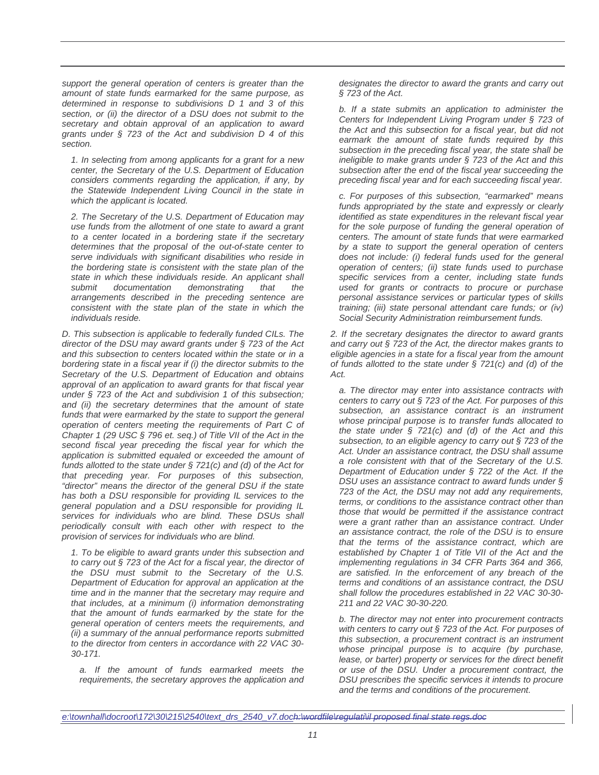support the general operation of centers is greater than the amount of state funds earmarked for the same purpose, as determined in response to subdivisions D 1 and 3 of this section, or (ii) the director of a DSU does not submit to the secretary and obtain approval of an application to award grants under § 723 of the Act and subdivision D 4 of this section.

1. In selecting from among applicants for a grant for a new center, the Secretary of the U.S. Department of Education considers comments regarding the application, if any, by the Statewide Independent Living Council in the state in which the applicant is located.

2. The Secretary of the U.S. Department of Education may use funds from the allotment of one state to award a grant to a center located in a bordering state if the secretary determines that the proposal of the out-of-state center to serve individuals with significant disabilities who reside in the bordering state is consistent with the state plan of the state in which these individuals reside. An applicant shall submit documentation demonstrating that the arrangements described in the preceding sentence are consistent with the state plan of the state in which the individuals reside.

D. This subsection is applicable to federally funded CILs. The director of the DSU may award grants under § 723 of the Act and this subsection to centers located within the state or in a bordering state in a fiscal year if (i) the director submits to the Secretary of the U.S. Department of Education and obtains approval of an application to award grants for that fiscal year under § 723 of the Act and subdivision 1 of this subsection; and (ii) the secretary determines that the amount of state funds that were earmarked by the state to support the general operation of centers meeting the requirements of Part C of Chapter 1 (29 USC § 796 et. seq.) of Title VII of the Act in the second fiscal year preceding the fiscal year for which the application is submitted equaled or exceeded the amount of funds allotted to the state under  $\S 721(c)$  and (d) of the Act for that preceding year. For purposes of this subsection, "director" means the director of the general DSU if the state has both a DSU responsible for providing IL services to the general population and a DSU responsible for providing IL services for individuals who are blind. These DSUs shall periodically consult with each other with respect to the provision of services for individuals who are blind.

1. To be eligible to award grants under this subsection and to carry out § 723 of the Act for a fiscal year, the director of the DSU must submit to the Secretary of the U.S. Department of Education for approval an application at the time and in the manner that the secretary may require and that includes, at a minimum (i) information demonstrating that the amount of funds earmarked by the state for the general operation of centers meets the requirements, and (ii) a summary of the annual performance reports submitted to the director from centers in accordance with 22 VAC 30- 30-171.

a. If the amount of funds earmarked meets the requirements, the secretary approves the application and designates the director to award the grants and carry out § 723 of the Act.

b. If a state submits an application to administer the Centers for Independent Living Program under § 723 of the Act and this subsection for a fiscal year, but did not earmark the amount of state funds required by this subsection in the preceding fiscal year, the state shall be ineligible to make grants under § 723 of the Act and this subsection after the end of the fiscal year succeeding the preceding fiscal year and for each succeeding fiscal year.

c. For purposes of this subsection, "earmarked" means funds appropriated by the state and expressly or clearly identified as state expenditures in the relevant fiscal year for the sole purpose of funding the general operation of centers. The amount of state funds that were earmarked by a state to support the general operation of centers does not include: (i) federal funds used for the general operation of centers; (ii) state funds used to purchase specific services from a center, including state funds used for grants or contracts to procure or purchase personal assistance services or particular types of skills training; (iii) state personal attendant care funds; or (iv) Social Security Administration reimbursement funds.

2. If the secretary designates the director to award grants and carry out § 723 of the Act, the director makes grants to eligible agencies in a state for a fiscal year from the amount of funds allotted to the state under  $\frac{6}{5}$  721(c) and (d) of the Act.

a. The director may enter into assistance contracts with centers to carry out § 723 of the Act. For purposes of this subsection, an assistance contract is an instrument whose principal purpose is to transfer funds allocated to the state under  $\S$  721(c) and (d) of the Act and this subsection, to an eligible agency to carry out § 723 of the Act. Under an assistance contract, the DSU shall assume a role consistent with that of the Secretary of the U.S. Department of Education under § 722 of the Act. If the DSU uses an assistance contract to award funds under § 723 of the Act, the DSU may not add any requirements, terms, or conditions to the assistance contract other than those that would be permitted if the assistance contract were a grant rather than an assistance contract. Under an assistance contract, the role of the DSU is to ensure that the terms of the assistance contract, which are established by Chapter 1 of Title VII of the Act and the implementing regulations in 34 CFR Parts 364 and 366, are satisfied. In the enforcement of any breach of the terms and conditions of an assistance contract, the DSU shall follow the procedures established in 22 VAC 30-30- 211 and 22 VAC 30-30-220.

b. The director may not enter into procurement contracts with centers to carry out § 723 of the Act. For purposes of this subsection, a procurement contract is an instrument whose principal purpose is to acquire (by purchase, lease, or barter) property or services for the direct benefit or use of the DSU. Under a procurement contract, the DSU prescribes the specific services it intends to procure and the terms and conditions of the procurement.

e:\townhall\docroot\172\30\215\2540\text\_drs\_2540\_v7.doch:\wordfile\regulati\il proposed final state regs.doc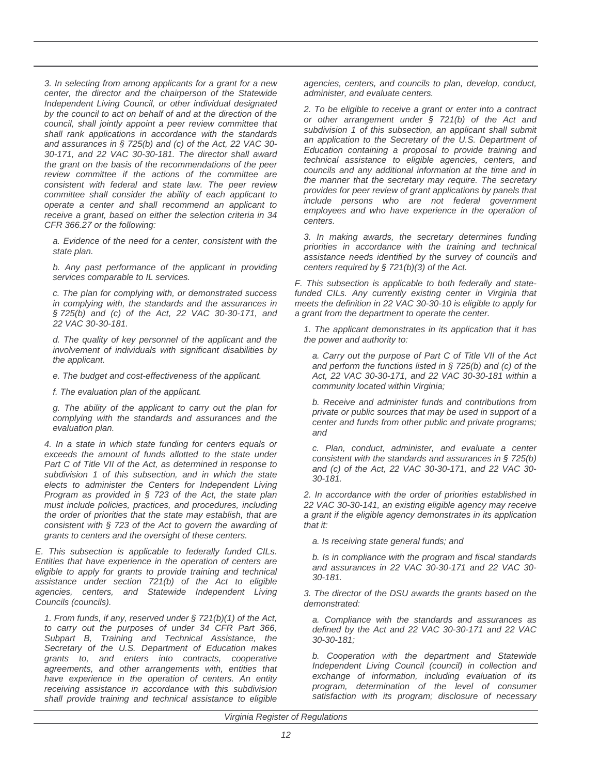3. In selecting from among applicants for a grant for a new center, the director and the chairperson of the Statewide Independent Living Council, or other individual designated by the council to act on behalf of and at the direction of the council, shall jointly appoint a peer review committee that shall rank applications in accordance with the standards and assurances in § 725(b) and (c) of the Act, 22 VAC 30- 30-171, and 22 VAC 30-30-181. The director shall award the grant on the basis of the recommendations of the peer review committee if the actions of the committee are consistent with federal and state law. The peer review committee shall consider the ability of each applicant to operate a center and shall recommend an applicant to receive a grant, based on either the selection criteria in 34 CFR 366.27 or the following:

a. Evidence of the need for a center, consistent with the state plan.

b. Any past performance of the applicant in providing services comparable to IL services.

c. The plan for complying with, or demonstrated success in complying with, the standards and the assurances in § 725(b) and (c) of the Act, 22 VAC 30-30-171, and 22 VAC 30-30-181.

d. The quality of key personnel of the applicant and the involvement of individuals with significant disabilities by the applicant.

- e. The budget and cost-effectiveness of the applicant.
- f. The evaluation plan of the applicant.

g. The ability of the applicant to carry out the plan for complying with the standards and assurances and the evaluation plan.

4. In a state in which state funding for centers equals or exceeds the amount of funds allotted to the state under Part C of Title VII of the Act, as determined in response to subdivision 1 of this subsection, and in which the state elects to administer the Centers for Independent Living Program as provided in § 723 of the Act, the state plan must include policies, practices, and procedures, including the order of priorities that the state may establish, that are consistent with § 723 of the Act to govern the awarding of grants to centers and the oversight of these centers.

E. This subsection is applicable to federally funded CILs. Entities that have experience in the operation of centers are eligible to apply for grants to provide training and technical assistance under section 721(b) of the Act to eligible agencies, centers, and Statewide Independent Living Councils (councils).

1. From funds, if any, reserved under  $\S 721(b)(1)$  of the Act, to carry out the purposes of under 34 CFR Part 366, Subpart B, Training and Technical Assistance, the Secretary of the U.S. Department of Education makes grants to, and enters into contracts, cooperative agreements, and other arrangements with, entities that have experience in the operation of centers. An entity receiving assistance in accordance with this subdivision shall provide training and technical assistance to eligible agencies, centers, and councils to plan, develop, conduct, administer, and evaluate centers.

2. To be eligible to receive a grant or enter into a contract or other arrangement under § 721(b) of the Act and subdivision 1 of this subsection, an applicant shall submit an application to the Secretary of the U.S. Department of Education containing a proposal to provide training and technical assistance to eligible agencies, centers, and councils and any additional information at the time and in the manner that the secretary may require. The secretary provides for peer review of grant applications by panels that include persons who are not federal government employees and who have experience in the operation of centers.

3. In making awards, the secretary determines funding priorities in accordance with the training and technical assistance needs identified by the survey of councils and centers required by  $\S 721(b)(3)$  of the Act.

F. This subsection is applicable to both federally and statefunded CILs. Any currently existing center in Virginia that meets the definition in 22 VAC 30-30-10 is eligible to apply for a grant from the department to operate the center.

1. The applicant demonstrates in its application that it has the power and authority to:

a. Carry out the purpose of Part C of Title VII of the Act and perform the functions listed in  $\S$  725(b) and (c) of the Act, 22 VAC 30-30-171, and 22 VAC 30-30-181 within a community located within Virginia;

b. Receive and administer funds and contributions from private or public sources that may be used in support of a center and funds from other public and private programs; and

c. Plan, conduct, administer, and evaluate a center consistent with the standards and assurances in § 725(b) and (c) of the Act, 22 VAC 30-30-171, and 22 VAC 30- 30-181.

2. In accordance with the order of priorities established in 22 VAC 30-30-141, an existing eligible agency may receive a grant if the eligible agency demonstrates in its application that it:

a. Is receiving state general funds; and

b. Is in compliance with the program and fiscal standards and assurances in 22 VAC 30-30-171 and 22 VAC 30- 30-181.

3. The director of the DSU awards the grants based on the demonstrated:

a. Compliance with the standards and assurances as defined by the Act and 22 VAC 30-30-171 and 22 VAC 30-30-181;

b. Cooperation with the department and Statewide Independent Living Council (council) in collection and exchange of information, including evaluation of its program, determination of the level of consumer satisfaction with its program; disclosure of necessary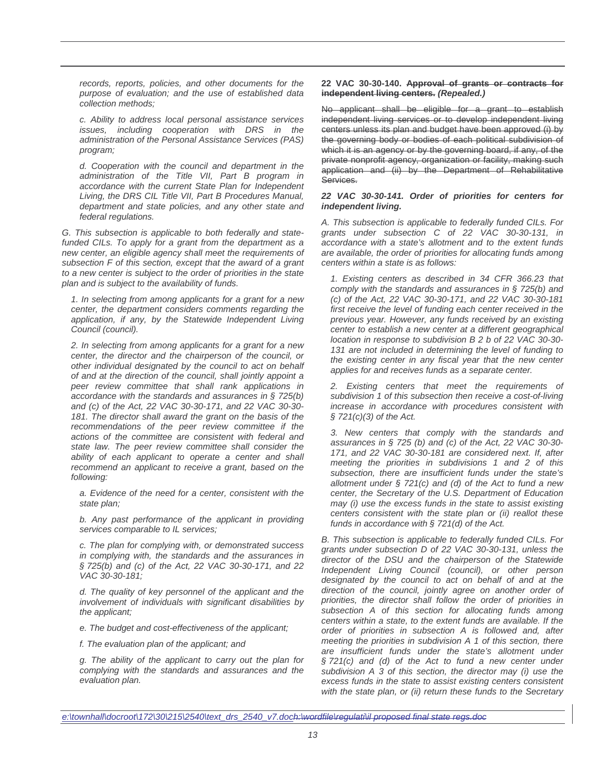records, reports, policies, and other documents for the purpose of evaluation; and the use of established data collection methods;

c. Ability to address local personal assistance services issues, including cooperation with DRS in the administration of the Personal Assistance Services (PAS) program;

d. Cooperation with the council and department in the administration of the Title VII, Part B program in accordance with the current State Plan for Independent Living, the DRS CIL Title VII, Part B Procedures Manual, department and state policies, and any other state and federal regulations.

G. This subsection is applicable to both federally and statefunded CILs. To apply for a grant from the department as a new center, an eligible agency shall meet the requirements of subsection F of this section, except that the award of a grant to a new center is subject to the order of priorities in the state plan and is subject to the availability of funds.

1. In selecting from among applicants for a grant for a new center, the department considers comments regarding the application, if any, by the Statewide Independent Living Council (council).

2. In selecting from among applicants for a grant for a new center, the director and the chairperson of the council, or other individual designated by the council to act on behalf of and at the direction of the council, shall jointly appoint a peer review committee that shall rank applications in accordance with the standards and assurances in § 725(b) and (c) of the Act, 22 VAC 30-30-171, and 22 VAC 30-30- 181. The director shall award the grant on the basis of the recommendations of the peer review committee if the actions of the committee are consistent with federal and state law. The peer review committee shall consider the ability of each applicant to operate a center and shall recommend an applicant to receive a grant, based on the following:

a. Evidence of the need for a center, consistent with the state plan;

b. Any past performance of the applicant in providing services comparable to IL services;

c. The plan for complying with, or demonstrated success in complying with, the standards and the assurances in § 725(b) and (c) of the Act, 22 VAC 30-30-171, and 22 VAC 30-30-181;

d. The quality of key personnel of the applicant and the involvement of individuals with significant disabilities by the applicant;

e. The budget and cost-effectiveness of the applicant;

f. The evaluation plan of the applicant; and

g. The ability of the applicant to carry out the plan for complying with the standards and assurances and the evaluation plan.

**22 VAC 30-30-140. Approval of grants or contracts for independent living centers. (Repealed.)**

No applicant shall be eligible for a grant to establish independent living services or to develop independent living centers unless its plan and budget have been approved (i) by the governing body or bodies of each political subdivision of which it is an agency or by the governing board, if any, of the private nonprofit agency, organization or facility, making such application and (ii) by the Department of Rehabilitative Services.

#### **22 VAC 30-30-141. Order of priorities for centers for independent living.**

A. This subsection is applicable to federally funded CILs. For grants under subsection C of 22 VAC 30-30-131, in accordance with a state's allotment and to the extent funds are available, the order of priorities for allocating funds among centers within a state is as follows:

1. Existing centers as described in 34 CFR 366.23 that comply with the standards and assurances in § 725(b) and (c) of the Act, 22 VAC 30-30-171, and 22 VAC 30-30-181 first receive the level of funding each center received in the previous year. However, any funds received by an existing center to establish a new center at a different geographical location in response to subdivision B 2 b of 22 VAC 30-30- 131 are not included in determining the level of funding to the existing center in any fiscal year that the new center applies for and receives funds as a separate center.

2. Existing centers that meet the requirements of subdivision 1 of this subsection then receive a cost-of-living increase in accordance with procedures consistent with  $$721(c)(3)$  of the Act.

3. New centers that comply with the standards and assurances in § 725 (b) and (c) of the Act, 22 VAC 30-30- 171, and 22 VAC 30-30-181 are considered next. If, after meeting the priorities in subdivisions 1 and 2 of this subsection, there are insufficient funds under the state's allotment under  $\S$  721(c) and (d) of the Act to fund a new center, the Secretary of the U.S. Department of Education may (i) use the excess funds in the state to assist existing centers consistent with the state plan or (ii) reallot these funds in accordance with  $\S 721(d)$  of the Act.

B. This subsection is applicable to federally funded CILs. For grants under subsection D of 22 VAC 30-30-131, unless the director of the DSU and the chairperson of the Statewide Independent Living Council (council), or other person designated by the council to act on behalf of and at the direction of the council, jointly agree on another order of priorities, the director shall follow the order of priorities in subsection A of this section for allocating funds among centers within a state, to the extent funds are available. If the order of priorities in subsection A is followed and, after meeting the priorities in subdivision A 1 of this section, there are insufficient funds under the state's allotment under § 721(c) and (d) of the Act to fund a new center under subdivision A 3 of this section, the director may (i) use the excess funds in the state to assist existing centers consistent with the state plan, or (ii) return these funds to the Secretary

e:\townhall\docroot\172\30\215\2540\text\_drs\_2540\_v7.doch:\wordfile\regulati\il proposed final state regs.doc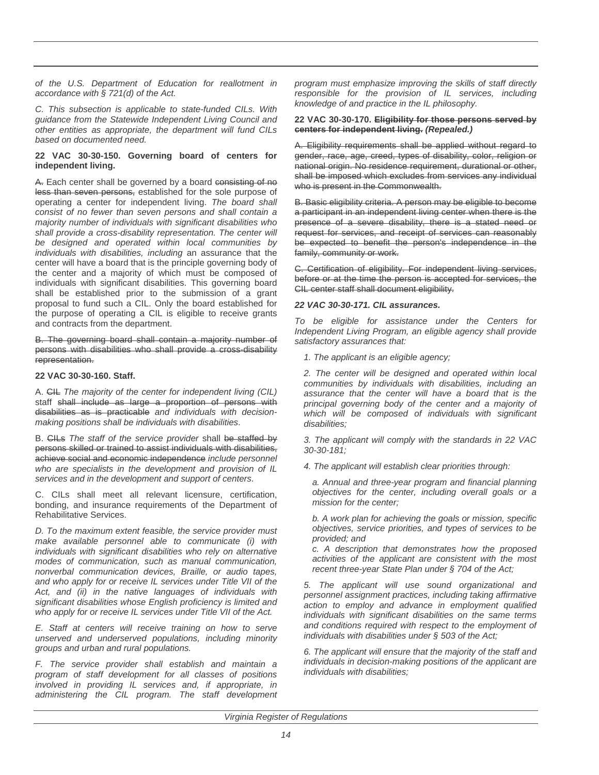of the U.S. Department of Education for reallotment in accordance with § 721(d) of the Act.

C. This subsection is applicable to state-funded CILs. With guidance from the Statewide Independent Living Council and other entities as appropriate, the department will fund CILs based on documented need.

# **22 VAC 30-30-150. Governing board of centers for independent living.**

A. Each center shall be governed by a board consisting of no less than seven persons, established for the sole purpose of operating a center for independent living. The board shall consist of no fewer than seven persons and shall contain a majority number of individuals with significant disabilities who shall provide a cross-disability representation. The center will be designed and operated within local communities by individuals with disabilities, including an assurance that the center will have a board that is the principle governing body of the center and a majority of which must be composed of individuals with significant disabilities. This governing board shall be established prior to the submission of a grant proposal to fund such a CIL. Only the board established for the purpose of operating a CIL is eligible to receive grants and contracts from the department.

B. The governing board shall contain a majority number of persons with disabilities who shall provide a cross-disability representation.

### **22 VAC 30-30-160. Staff.**

A. CIL The majority of the center for independent living (CIL) staff shall include as large a proportion of persons with disabilities as is practicable and individuals with decisionmaking positions shall be individuals with disabilities.

B. CILs The staff of the service provider shall be staffed by persons skilled or trained to assist individuals with disabilities, achieve social and economic independence include personnel who are specialists in the development and provision of IL services and in the development and support of centers.

C. CILs shall meet all relevant licensure, certification, bonding, and insurance requirements of the Department of Rehabilitative Services.

D. To the maximum extent feasible, the service provider must make available personnel able to communicate (i) with individuals with significant disabilities who rely on alternative modes of communication, such as manual communication, nonverbal communication devices, Braille, or audio tapes, and who apply for or receive IL services under Title VII of the Act, and (ii) in the native languages of individuals with significant disabilities whose English proficiency is limited and who apply for or receive IL services under Title VII of the Act.

E. Staff at centers will receive training on how to serve unserved and underserved populations, including minority groups and urban and rural populations.

F. The service provider shall establish and maintain a program of staff development for all classes of positions involved in providing IL services and, if appropriate, in administering the CIL program. The staff development program must emphasize improving the skills of staff directly responsible for the provision of IL services, including knowledge of and practice in the IL philosophy.

## **22 VAC 30-30-170. Eligibility for those persons served by centers for independent living. (Repealed.)**

A. Eligibility requirements shall be applied without regard to gender, race, age, creed, types of disability, color, religion or national origin. No residence requirement, durational or other, shall be imposed which excludes from services any individual who is present in the Commonwealth.

B. Basic eligibility criteria. A person may be eligible to become a participant in an independent living center when there is the presence of a severe disability, there is a stated need or request for services, and receipt of services can reasonably be expected to benefit the person's independence in the family, community or work.

C. Certification of eligibility. For independent living services, before or at the time the person is accepted for services, the CIL center staff shall document eligibility.

# **22 VAC 30-30-171. CIL assurances.**

To be eligible for assistance under the Centers for Independent Living Program, an eligible agency shall provide satisfactory assurances that:

1. The applicant is an eligible agency;

2. The center will be designed and operated within local communities by individuals with disabilities, including an assurance that the center will have a board that is the principal governing body of the center and a majority of which will be composed of individuals with significant disabilities:

3. The applicant will comply with the standards in 22 VAC 30-30-181;

4. The applicant will establish clear priorities through:

a. Annual and three-year program and financial planning objectives for the center, including overall goals or a mission for the center;

b. A work plan for achieving the goals or mission, specific objectives, service priorities, and types of services to be provided; and

c. A description that demonstrates how the proposed activities of the applicant are consistent with the most recent three-year State Plan under § 704 of the Act;

5. The applicant will use sound organizational and personnel assignment practices, including taking affirmative action to employ and advance in employment qualified individuals with significant disabilities on the same terms and conditions required with respect to the employment of individuals with disabilities under § 503 of the Act;

6. The applicant will ensure that the majority of the staff and individuals in decision-making positions of the applicant are individuals with disabilities;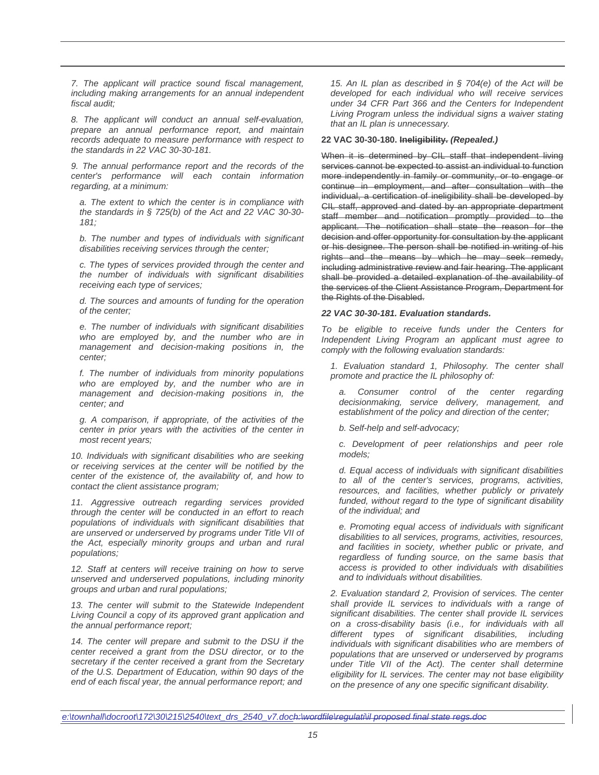7. The applicant will practice sound fiscal management, including making arrangements for an annual independent fiscal audit;

8. The applicant will conduct an annual self-evaluation, prepare an annual performance report, and maintain records adequate to measure performance with respect to the standards in 22 VAC 30-30-181.

9. The annual performance report and the records of the center's performance will each contain information regarding, at a minimum:

a. The extent to which the center is in compliance with the standards in § 725(b) of the Act and 22 VAC 30-30- 181;

b. The number and types of individuals with significant disabilities receiving services through the center;

c. The types of services provided through the center and the number of individuals with significant disabilities receiving each type of services;

d. The sources and amounts of funding for the operation of the center;

e. The number of individuals with significant disabilities who are employed by, and the number who are in management and decision-making positions in, the center;

f. The number of individuals from minority populations who are employed by, and the number who are in management and decision-making positions in, the center; and

g. A comparison, if appropriate, of the activities of the center in prior years with the activities of the center in most recent years;

10. Individuals with significant disabilities who are seeking or receiving services at the center will be notified by the center of the existence of, the availability of, and how to contact the client assistance program;

11. Aggressive outreach regarding services provided through the center will be conducted in an effort to reach populations of individuals with significant disabilities that are unserved or underserved by programs under Title VII of the Act, especially minority groups and urban and rural populations;

12. Staff at centers will receive training on how to serve unserved and underserved populations, including minority groups and urban and rural populations;

13. The center will submit to the Statewide Independent Living Council a copy of its approved grant application and the annual performance report;

14. The center will prepare and submit to the DSU if the center received a grant from the DSU director, or to the secretary if the center received a grant from the Secretary of the U.S. Department of Education, within 90 days of the end of each fiscal year, the annual performance report; and

15. An IL plan as described in  $\S$  704(e) of the Act will be developed for each individual who will receive services under 34 CFR Part 366 and the Centers for Independent Living Program unless the individual signs a waiver stating that an IL plan is unnecessary.

# **22 VAC 30-30-180. Ineligibility. (Repealed.)**

When it is determined by CIL staff that independent living services cannot be expected to assist an individual to function more independently in family or community, or to engage or continue in employment, and after consultation with the individual, a certification of ineligibility shall be developed by CIL staff, approved and dated by an appropriate department staff member and notification promptly provided to the applicant. The notification shall state the reason for the decision and offer opportunity for consultation by the applicant or his designee. The person shall be notified in writing of his rights and the means by which he may seek remedy, including administrative review and fair hearing. The applicant shall be provided a detailed explanation of the availability of the services of the Client Assistance Program, Department for the Rights of the Disabled.

#### **22 VAC 30-30-181. Evaluation standards.**

To be eligible to receive funds under the Centers for Independent Living Program an applicant must agree to comply with the following evaluation standards:

1. Evaluation standard 1, Philosophy. The center shall promote and practice the IL philosophy of:

Consumer control of the center regarding decisionmaking, service delivery, management, and establishment of the policy and direction of the center;

b. Self-help and self-advocacy;

c. Development of peer relationships and peer role models;

d. Equal access of individuals with significant disabilities to all of the center's services, programs, activities, resources, and facilities, whether publicly or privately funded, without regard to the type of significant disability of the individual; and

e. Promoting equal access of individuals with significant disabilities to all services, programs, activities, resources, and facilities in society, whether public or private, and regardless of funding source, on the same basis that access is provided to other individuals with disabilities and to individuals without disabilities.

2. Evaluation standard 2, Provision of services. The center shall provide IL services to individuals with a range of significant disabilities. The center shall provide IL services on a cross-disability basis (i.e., for individuals with all different types of significant disabilities, including individuals with significant disabilities who are members of populations that are unserved or underserved by programs under Title VII of the Act). The center shall determine eligibility for IL services. The center may not base eligibility on the presence of any one specific significant disability.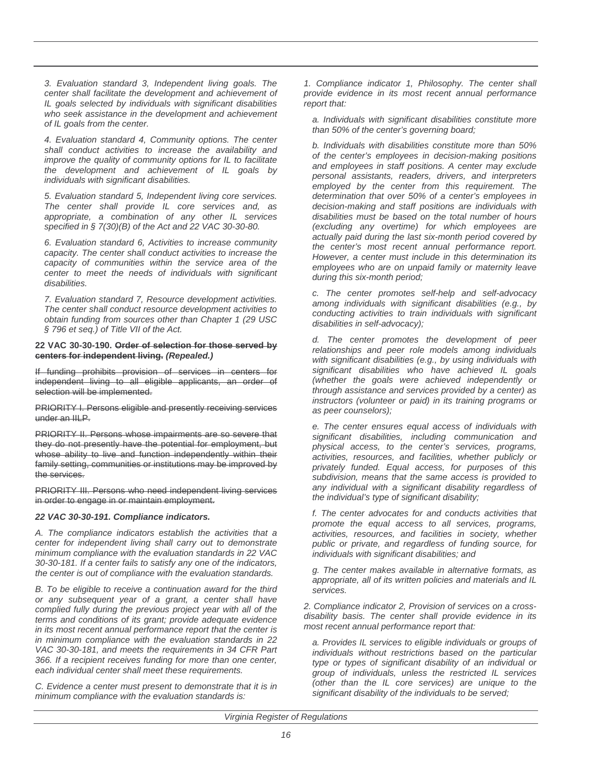3. Evaluation standard 3, Independent living goals. The center shall facilitate the development and achievement of IL goals selected by individuals with significant disabilities who seek assistance in the development and achievement of IL goals from the center.

4. Evaluation standard 4, Community options. The center shall conduct activities to increase the availability and improve the quality of community options for IL to facilitate the development and achievement of IL goals by individuals with significant disabilities.

5. Evaluation standard 5, Independent living core services. The center shall provide IL core services and, as appropriate, a combination of any other IL services specified in § 7(30)(B) of the Act and 22 VAC 30-30-80.

6. Evaluation standard 6, Activities to increase community capacity. The center shall conduct activities to increase the capacity of communities within the service area of the center to meet the needs of individuals with significant disabilities.

7. Evaluation standard 7, Resource development activities. The center shall conduct resource development activities to obtain funding from sources other than Chapter 1 (29 USC § 796 et seq.) of Title VII of the Act.

#### **22 VAC 30-30-190. Order of selection for those served by centers for independent living. (Repealed.)**

If funding prohibits provision of services in centers for independent living to all eligible applicants, an order of selection will be implemented.

PRIORITY I. Persons eligible and presently receiving services under an IILP.

PRIORITY II. Persons whose impairments are so severe that they do not presently have the potential for employment, but whose ability to live and function independently within their family setting, communities or institutions may be improved by the services.

PRIORITY III. Persons who need independent living services in order to engage in or maintain employment.

# **22 VAC 30-30-191. Compliance indicators.**

A. The compliance indicators establish the activities that a center for independent living shall carry out to demonstrate minimum compliance with the evaluation standards in 22 VAC 30-30-181. If a center fails to satisfy any one of the indicators, the center is out of compliance with the evaluation standards.

B. To be eligible to receive a continuation award for the third or any subsequent year of a grant, a center shall have complied fully during the previous project year with all of the terms and conditions of its grant; provide adequate evidence in its most recent annual performance report that the center is in minimum compliance with the evaluation standards in 22 VAC 30-30-181, and meets the requirements in 34 CFR Part 366. If a recipient receives funding for more than one center, each individual center shall meet these requirements.

C. Evidence a center must present to demonstrate that it is in minimum compliance with the evaluation standards is:

1. Compliance indicator 1, Philosophy. The center shall provide evidence in its most recent annual performance report that:

a. Individuals with significant disabilities constitute more than 50% of the center's governing board;

b. Individuals with disabilities constitute more than 50% of the center's employees in decision-making positions and employees in staff positions. A center may exclude personal assistants, readers, drivers, and interpreters employed by the center from this requirement. The determination that over 50% of a center's employees in decision-making and staff positions are individuals with disabilities must be based on the total number of hours (excluding any overtime) for which employees are actually paid during the last six-month period covered by the center's most recent annual performance report. However, a center must include in this determination its employees who are on unpaid family or maternity leave during this six-month period;

c. The center promotes self-help and self-advocacy among individuals with significant disabilities (e.g., by conducting activities to train individuals with significant disabilities in self-advocacy);

d. The center promotes the development of peer relationships and peer role models among individuals with significant disabilities (e.g., by using individuals with significant disabilities who have achieved IL goals (whether the goals were achieved independently or through assistance and services provided by a center) as instructors (volunteer or paid) in its training programs or as peer counselors);

e. The center ensures equal access of individuals with significant disabilities, including communication and physical access, to the center's services, programs, activities, resources, and facilities, whether publicly or privately funded. Equal access, for purposes of this subdivision, means that the same access is provided to any individual with a significant disability regardless of the individual's type of significant disability;

f. The center advocates for and conducts activities that promote the equal access to all services, programs, activities, resources, and facilities in society, whether public or private, and regardless of funding source, for individuals with significant disabilities; and

g. The center makes available in alternative formats, as appropriate, all of its written policies and materials and IL services.

2. Compliance indicator 2, Provision of services on a crossdisability basis. The center shall provide evidence in its most recent annual performance report that:

a. Provides IL services to eligible individuals or groups of individuals without restrictions based on the particular type or types of significant disability of an individual or group of individuals, unless the restricted IL services (other than the IL core services) are unique to the significant disability of the individuals to be served;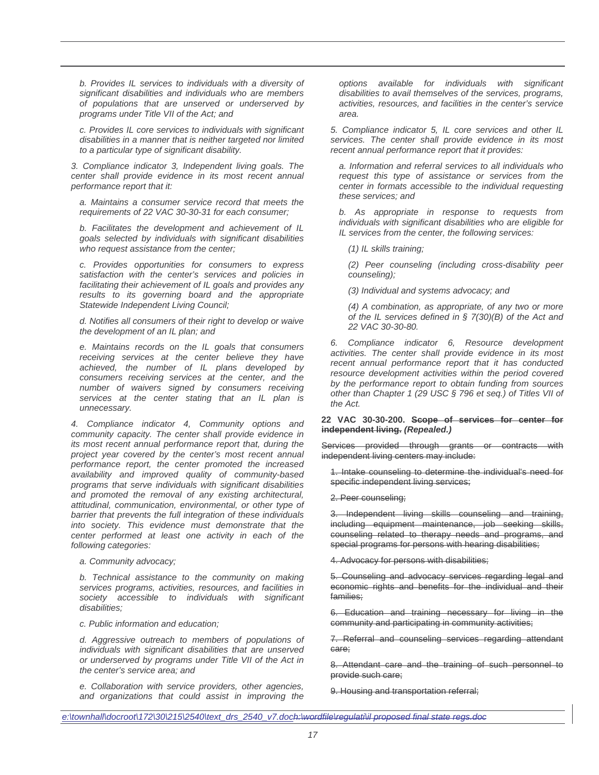b. Provides IL services to individuals with a diversity of significant disabilities and individuals who are members of populations that are unserved or underserved by programs under Title VII of the Act; and

c. Provides IL core services to individuals with significant disabilities in a manner that is neither targeted nor limited to a particular type of significant disability.

3. Compliance indicator 3, Independent living goals. The center shall provide evidence in its most recent annual performance report that it:

a. Maintains a consumer service record that meets the requirements of 22 VAC 30-30-31 for each consumer;

b. Facilitates the development and achievement of IL goals selected by individuals with significant disabilities who request assistance from the center;

c. Provides opportunities for consumers to express satisfaction with the center's services and policies in facilitating their achievement of IL goals and provides any results to its governing board and the appropriate Statewide Independent Living Council;

d. Notifies all consumers of their right to develop or waive the development of an IL plan; and

e. Maintains records on the IL goals that consumers receiving services at the center believe they have achieved, the number of IL plans developed by consumers receiving services at the center, and the number of waivers signed by consumers receiving services at the center stating that an IL plan is unnecessary.

4. Compliance indicator 4, Community options and community capacity. The center shall provide evidence in its most recent annual performance report that, during the project year covered by the center's most recent annual performance report, the center promoted the increased availability and improved quality of community-based programs that serve individuals with significant disabilities and promoted the removal of any existing architectural, attitudinal, communication, environmental, or other type of barrier that prevents the full integration of these individuals into society. This evidence must demonstrate that the center performed at least one activity in each of the following categories:

a. Community advocacy;

b. Technical assistance to the community on making services programs, activities, resources, and facilities in society accessible to individuals with significant disabilities;

c. Public information and education;

d. Aggressive outreach to members of populations of individuals with significant disabilities that are unserved or underserved by programs under Title VII of the Act in the center's service area; and

e. Collaboration with service providers, other agencies, and organizations that could assist in improving the options available for individuals with significant disabilities to avail themselves of the services, programs, activities, resources, and facilities in the center's service area.

5. Compliance indicator 5, IL core services and other IL services. The center shall provide evidence in its most recent annual performance report that it provides:

a. Information and referral services to all individuals who request this type of assistance or services from the center in formats accessible to the individual requesting these services; and

b. As appropriate in response to requests from individuals with significant disabilities who are eligible for IL services from the center, the following services:

(1) IL skills training;

(2) Peer counseling (including cross-disability peer counseling);

(3) Individual and systems advocacy; and

(4) A combination, as appropriate, of any two or more of the IL services defined in  $\S$  7(30)(B) of the Act and 22 VAC 30-30-80.

Compliance indicator 6, Resource development activities. The center shall provide evidence in its most recent annual performance report that it has conducted resource development activities within the period covered by the performance report to obtain funding from sources other than Chapter 1 (29 USC § 796 et seq.) of Titles VII of the Act.

**22 VAC 30-30-200. Scope of services for center for independent living. (Repealed.)**

Services provided through grants or contracts with independent living centers may include:

1. Intake counseling to determine the individual's need for specific independent living services;

2. Peer counseling;

3. Independent living skills counseling and training, including equipment maintenance, job seeking skills, counseling related to therapy needs and programs, and special programs for persons with hearing disabilities;

4. Advocacy for persons with disabilities;

5. Counseling and advocacy services regarding legal and economic rights and benefits for the individual and their families;

6. Education and training necessary for living in the community and participating in community activities;

7. Referral and counseling services regarding attendant care;

8. Attendant care and the training of such personnel to provide such care;

9. Housing and transportation referral;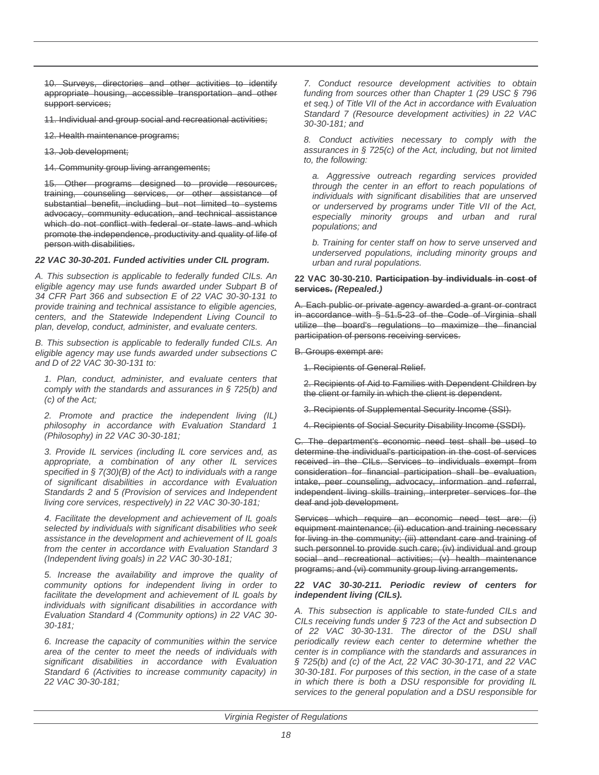10. Surveys, directories and other activities to identify appropriate housing, accessible transportation and other support services;

11. Individual and group social and recreational activities;

12. Health maintenance programs;

13. Job development;

14. Community group living arrangements;

15. Other programs designed to provide resources, training, counseling services, or other assistance of substantial benefit, including but not limited to systems advocacy, community education, and technical assistance which do not conflict with federal or state laws and which promote the independence, productivity and quality of life of person with disabilities.

# **22 VAC 30-30-201. Funded activities under CIL program.**

A. This subsection is applicable to federally funded CILs. An eligible agency may use funds awarded under Subpart B of 34 CFR Part 366 and subsection E of 22 VAC 30-30-131 to provide training and technical assistance to eligible agencies, centers, and the Statewide Independent Living Council to plan, develop, conduct, administer, and evaluate centers.

B. This subsection is applicable to federally funded CILs. An eligible agency may use funds awarded under subsections C and D of 22 VAC 30-30-131 to:

1. Plan, conduct, administer, and evaluate centers that comply with the standards and assurances in  $\S$  725(b) and (c) of the Act;

2. Promote and practice the independent living (IL) philosophy in accordance with Evaluation Standard 1 (Philosophy) in 22 VAC 30-30-181;

3. Provide IL services (including IL core services and, as appropriate, a combination of any other IL services specified in § 7(30)(B) of the Act) to individuals with a range of significant disabilities in accordance with Evaluation Standards 2 and 5 (Provision of services and Independent living core services, respectively) in 22 VAC 30-30-181;

4. Facilitate the development and achievement of IL goals selected by individuals with significant disabilities who seek assistance in the development and achievement of IL goals from the center in accordance with Evaluation Standard 3 (Independent living goals) in 22 VAC 30-30-181;

5. Increase the availability and improve the quality of community options for independent living in order to facilitate the development and achievement of IL goals by individuals with significant disabilities in accordance with Evaluation Standard 4 (Community options) in 22 VAC 30- 30-181;

6. Increase the capacity of communities within the service area of the center to meet the needs of individuals with significant disabilities in accordance with Evaluation Standard 6 (Activities to increase community capacity) in 22 VAC 30-30-181;

7. Conduct resource development activities to obtain funding from sources other than Chapter 1 (29 USC § 796 et seq.) of Title VII of the Act in accordance with Evaluation Standard 7 (Resource development activities) in 22 VAC 30-30-181; and

8. Conduct activities necessary to comply with the assurances in  $\S$  725(c) of the Act, including, but not limited to, the following:

a. Aggressive outreach regarding services provided through the center in an effort to reach populations of individuals with significant disabilities that are unserved or underserved by programs under Title VII of the Act, especially minority groups and urban and rural populations; and

b. Training for center staff on how to serve unserved and underserved populations, including minority groups and urban and rural populations.

## **22 VAC 30-30-210. Participation by individuals in cost of services. (Repealed.)**

A. Each public or private agency awarded a grant or contract in accordance with § 51.5-23 of the Code of Virginia shall utilize the board's regulations to maximize the financial participation of persons receiving services.

B. Groups exempt are:

1. Recipients of General Relief.

2. Recipients of Aid to Families with Dependent Children by the client or family in which the client is dependent.

3. Recipients of Supplemental Security Income (SSI).

4. Recipients of Social Security Disability Income (SSDI).

C. The department's economic need test shall be used to determine the individual's participation in the cost of services received in the CILs. Services to individuals exempt from consideration for financial participation shall be evaluation, intake, peer counseling, advocacy, information and referral, independent living skills training, interpreter services for the deaf and job development.

Services which require an economic need test are: (i) equipment maintenance; (ii) education and training necessary for living in the community; (iii) attendant care and training of such personnel to provide such care; (iv) individual and group social and recreational activities; (v) health maintenance programs; and (vi) community group living arrangements.

# **22 VAC 30-30-211. Periodic review of centers for independent living (CILs).**

A. This subsection is applicable to state-funded CILs and CILs receiving funds under § 723 of the Act and subsection D of 22 VAC 30-30-131. The director of the DSU shall periodically review each center to determine whether the center is in compliance with the standards and assurances in § 725(b) and (c) of the Act, 22 VAC 30-30-171, and 22 VAC 30-30-181. For purposes of this section, in the case of a state in which there is both a DSU responsible for providing IL services to the general population and a DSU responsible for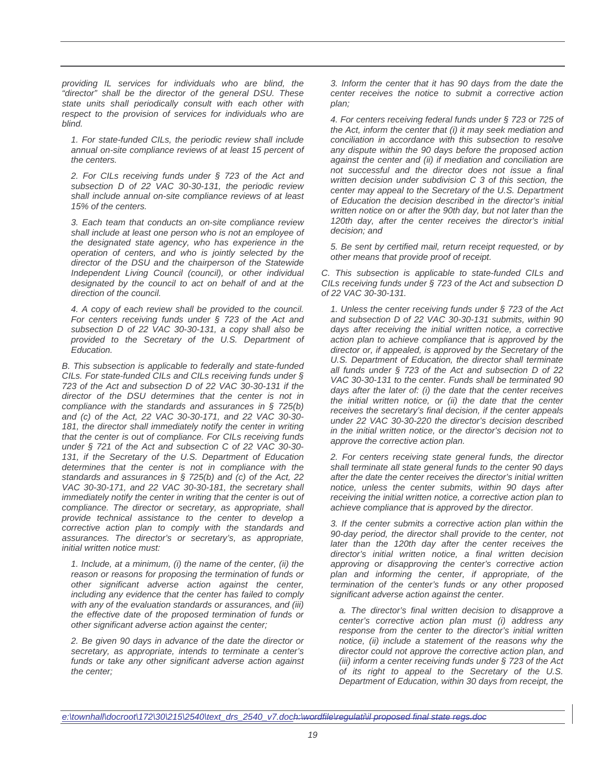providing IL services for individuals who are blind, the "director" shall be the director of the general DSU. These state units shall periodically consult with each other with respect to the provision of services for individuals who are blind.

1. For state-funded CILs, the periodic review shall include annual on-site compliance reviews of at least 15 percent of the centers.

2. For CILs receiving funds under § 723 of the Act and subsection D of 22 VAC 30-30-131, the periodic review shall include annual on-site compliance reviews of at least 15% of the centers.

3. Each team that conducts an on-site compliance review shall include at least one person who is not an employee of the designated state agency, who has experience in the operation of centers, and who is jointly selected by the director of the DSU and the chairperson of the Statewide Independent Living Council (council), or other individual designated by the council to act on behalf of and at the direction of the council.

4. A copy of each review shall be provided to the council. For centers receiving funds under § 723 of the Act and subsection D of 22 VAC 30-30-131, a copy shall also be provided to the Secretary of the U.S. Department of Education.

B. This subsection is applicable to federally and state-funded CILs. For state-funded CILs and CILs receiving funds under § 723 of the Act and subsection D of 22 VAC 30-30-131 if the director of the DSU determines that the center is not in compliance with the standards and assurances in  $\S$  725(b) and (c) of the Act, 22 VAC 30-30-171, and 22 VAC 30-30- 181, the director shall immediately notify the center in writing that the center is out of compliance. For CILs receiving funds under § 721 of the Act and subsection C of 22 VAC 30-30- 131, if the Secretary of the U.S. Department of Education determines that the center is not in compliance with the standards and assurances in  $\S$  725(b) and (c) of the Act, 22 VAC 30-30-171, and 22 VAC 30-30-181, the secretary shall immediately notify the center in writing that the center is out of compliance. The director or secretary, as appropriate, shall provide technical assistance to the center to develop a corrective action plan to comply with the standards and assurances. The director's or secretary's, as appropriate, initial written notice must:

1. Include, at a minimum, (i) the name of the center, (ii) the reason or reasons for proposing the termination of funds or other significant adverse action against the center, including any evidence that the center has failed to comply with any of the evaluation standards or assurances, and (iii) the effective date of the proposed termination of funds or other significant adverse action against the center;

2. Be given 90 days in advance of the date the director or secretary, as appropriate, intends to terminate a center's funds or take any other significant adverse action against the center;

3. Inform the center that it has 90 days from the date the center receives the notice to submit a corrective action plan;

4. For centers receiving federal funds under § 723 or 725 of the Act, inform the center that (i) it may seek mediation and conciliation in accordance with this subsection to resolve any dispute within the 90 days before the proposed action against the center and (ii) if mediation and conciliation are not successful and the director does not issue a final written decision under subdivision C 3 of this section, the center may appeal to the Secretary of the U.S. Department of Education the decision described in the director's initial written notice on or after the 90th day, but not later than the 120th day, after the center receives the director's initial decision; and

5. Be sent by certified mail, return receipt requested, or by other means that provide proof of receipt.

C. This subsection is applicable to state-funded CILs and CILs receiving funds under § 723 of the Act and subsection D of 22 VAC 30-30-131.

1. Unless the center receiving funds under § 723 of the Act and subsection D of 22 VAC 30-30-131 submits, within 90 days after receiving the initial written notice, a corrective action plan to achieve compliance that is approved by the director or, if appealed, is approved by the Secretary of the U.S. Department of Education, the director shall terminate all funds under § 723 of the Act and subsection D of 22 VAC 30-30-131 to the center. Funds shall be terminated 90 days after the later of: (i) the date that the center receives the initial written notice, or (ii) the date that the center receives the secretary's final decision, if the center appeals under 22 VAC 30-30-220 the director's decision described in the initial written notice, or the director's decision not to approve the corrective action plan.

2. For centers receiving state general funds, the director shall terminate all state general funds to the center 90 days after the date the center receives the director's initial written notice, unless the center submits, within 90 days after receiving the initial written notice, a corrective action plan to achieve compliance that is approved by the director.

3. If the center submits a corrective action plan within the 90-day period, the director shall provide to the center, not later than the 120th day after the center receives the director's initial written notice, a final written decision approving or disapproving the center's corrective action plan and informing the center, if appropriate, of the termination of the center's funds or any other proposed significant adverse action against the center.

a. The director's final written decision to disapprove a center's corrective action plan must (i) address any response from the center to the director's initial written notice, (ii) include a statement of the reasons why the director could not approve the corrective action plan, and (iii) inform a center receiving funds under § 723 of the Act of its right to appeal to the Secretary of the U.S. Department of Education, within 30 days from receipt, the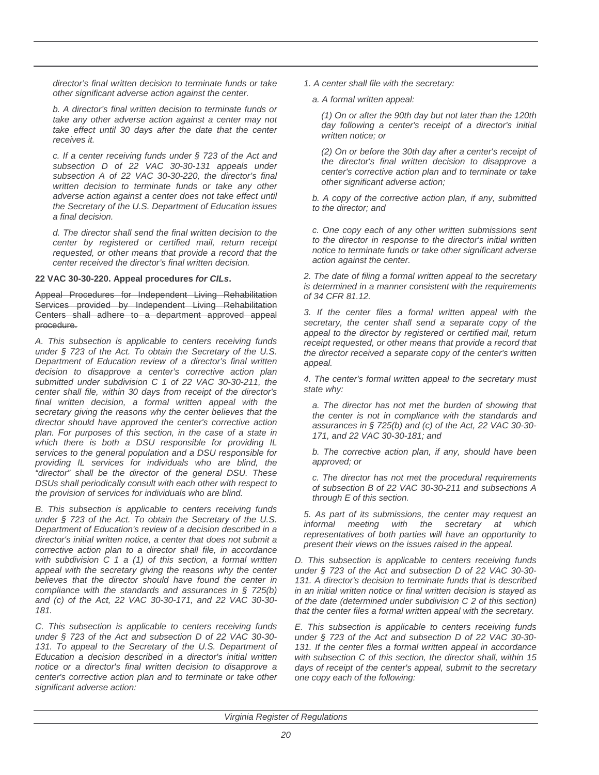director's final written decision to terminate funds or take other significant adverse action against the center.

b. A director's final written decision to terminate funds or take any other adverse action against a center may not take effect until 30 days after the date that the center receives it.

c. If a center receiving funds under § 723 of the Act and subsection D of 22 VAC 30-30-131 appeals under subsection A of 22 VAC 30-30-220, the director's final written decision to terminate funds or take any other adverse action against a center does not take effect until the Secretary of the U.S. Department of Education issues a final decision.

d. The director shall send the final written decision to the center by registered or certified mail, return receipt requested, or other means that provide a record that the center received the director's final written decision.

# **22 VAC 30-30-220. Appeal procedures for CILs.**

Appeal Procedures for Independent Living Rehabilitation Services provided by Independent Living Rehabilitation Centers shall adhere to a department approved appeal procedure.

A. This subsection is applicable to centers receiving funds under § 723 of the Act. To obtain the Secretary of the U.S. Department of Education review of a director's final written decision to disapprove a center's corrective action plan submitted under subdivision C 1 of 22 VAC 30-30-211, the center shall file, within 30 days from receipt of the director's final written decision, a formal written appeal with the secretary giving the reasons why the center believes that the director should have approved the center's corrective action plan. For purposes of this section, in the case of a state in which there is both a DSU responsible for providing IL services to the general population and a DSU responsible for providing IL services for individuals who are blind, the "director" shall be the director of the general DSU. These DSUs shall periodically consult with each other with respect to the provision of services for individuals who are blind.

B. This subsection is applicable to centers receiving funds under § 723 of the Act. To obtain the Secretary of the U.S. Department of Education's review of a decision described in a director's initial written notice, a center that does not submit a corrective action plan to a director shall file, in accordance with subdivision  $C$  1 a (1) of this section, a formal written appeal with the secretary giving the reasons why the center believes that the director should have found the center in compliance with the standards and assurances in § 725(b) and (c) of the Act, 22 VAC 30-30-171, and 22 VAC 30-30- 181.

C. This subsection is applicable to centers receiving funds under § 723 of the Act and subsection D of 22 VAC 30-30- 131. To appeal to the Secretary of the U.S. Department of Education a decision described in a director's initial written notice or a director's final written decision to disapprove a center's corrective action plan and to terminate or take other significant adverse action:

1. A center shall file with the secretary:

a. A formal written appeal:

(1) On or after the 90th day but not later than the 120th day following a center's receipt of a director's initial written notice; or

(2) On or before the 30th day after a center's receipt of the director's final written decision to disapprove a center's corrective action plan and to terminate or take other significant adverse action;

b. A copy of the corrective action plan, if any, submitted to the director; and

c. One copy each of any other written submissions sent to the director in response to the director's initial written notice to terminate funds or take other significant adverse action against the center.

2. The date of filing a formal written appeal to the secretary is determined in a manner consistent with the requirements of 34 CFR 81.12.

3. If the center files a formal written appeal with the secretary, the center shall send a separate copy of the appeal to the director by registered or certified mail, return receipt requested, or other means that provide a record that the director received a separate copy of the center's written appeal.

4. The center's formal written appeal to the secretary must state why:

a. The director has not met the burden of showing that the center is not in compliance with the standards and assurances in § 725(b) and (c) of the Act, 22 VAC 30-30- 171, and 22 VAC 30-30-181; and

b. The corrective action plan, if any, should have been approved; or

c. The director has not met the procedural requirements of subsection B of 22 VAC 30-30-211 and subsections A through E of this section.

5. As part of its submissions, the center may request an informal meeting with the secretary at which representatives of both parties will have an opportunity to present their views on the issues raised in the appeal.

D. This subsection is applicable to centers receiving funds under § 723 of the Act and subsection D of 22 VAC 30-30- 131. A director's decision to terminate funds that is described in an initial written notice or final written decision is stayed as of the date (determined under subdivision C 2 of this section) that the center files a formal written appeal with the secretary.

E. This subsection is applicable to centers receiving funds under § 723 of the Act and subsection D of 22 VAC 30-30- 131. If the center files a formal written appeal in accordance with subsection C of this section, the director shall, within 15 days of receipt of the center's appeal, submit to the secretary one copy each of the following: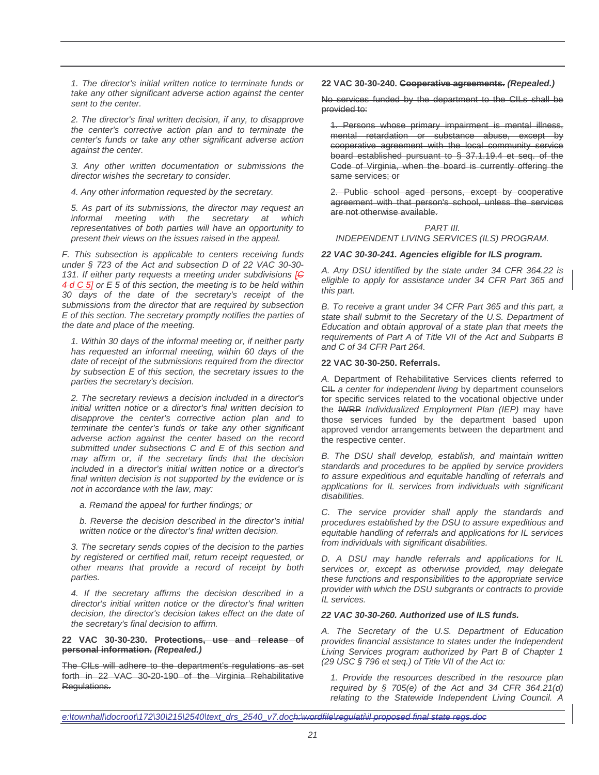1. The director's initial written notice to terminate funds or take any other significant adverse action against the center sent to the center.

2. The director's final written decision, if any, to disapprove the center's corrective action plan and to terminate the center's funds or take any other significant adverse action against the center.

3. Any other written documentation or submissions the director wishes the secretary to consider.

4. Any other information requested by the secretary.

5. As part of its submissions, the director may request an informal meeting with the secretary at which representatives of both parties will have an opportunity to present their views on the issues raised in the appeal.

F. This subsection is applicable to centers receiving funds under § 723 of the Act and subsection D of 22 VAC 30-30- 131. If either party requests a meeting under subdivisions  $[ $\epsilon$ ]$  $4 d C 5$ ] or E 5 of this section, the meeting is to be held within 30 days of the date of the secretary's receipt of the submissions from the director that are required by subsection E of this section. The secretary promptly notifies the parties of the date and place of the meeting.

1. Within 30 days of the informal meeting or, if neither party has requested an informal meeting, within 60 days of the date of receipt of the submissions required from the director by subsection E of this section, the secretary issues to the parties the secretary's decision.

2. The secretary reviews a decision included in a director's initial written notice or a director's final written decision to disapprove the center's corrective action plan and to terminate the center's funds or take any other significant adverse action against the center based on the record submitted under subsections C and E of this section and may affirm or, if the secretary finds that the decision included in a director's initial written notice or a director's final written decision is not supported by the evidence or is not in accordance with the law, may:

a. Remand the appeal for further findings; or

b. Reverse the decision described in the director's initial written notice or the director's final written decision.

3. The secretary sends copies of the decision to the parties by registered or certified mail, return receipt requested, or other means that provide a record of receipt by both parties.

4. If the secretary affirms the decision described in a director's initial written notice or the director's final written decision, the director's decision takes effect on the date of the secretary's final decision to affirm.

**22 VAC 30-30-230. Protections, use and release of personal information. (Repealed.)**

The CILs will adhere to the department's regulations as set forth in 22 VAC 30-20-190 of the Virginia Rehabilitative Regulations.

#### **22 VAC 30-30-240. Cooperative agreements. (Repealed.)**

No services funded by the department to the CILs shall be provided to:

1. Persons whose primary impairment is mental illness, mental retardation or substance abuse, except by cooperative agreement with the local community service board established pursuant to § 37.1.19.4 et seq. of the Code of Virginia, when the board is currently offering the same services; or

2. Public school aged persons, except by cooperative agreement with that person's school, unless the services are not otherwise available.

# PART III. INDEPENDENT LIVING SERVICES (ILS) PROGRAM.

#### **22 VAC 30-30-241. Agencies eligible for ILS program.**

A. Any DSU identified by the state under 34 CFR 364.22 is eligible to apply for assistance under 34 CFR Part 365 and this part.

B. To receive a grant under 34 CFR Part 365 and this part, a state shall submit to the Secretary of the U.S. Department of Education and obtain approval of a state plan that meets the requirements of Part A of Title VII of the Act and Subparts B and C of 34 CFR Part 264.

# **22 VAC 30-30-250. Referrals.**

A. Department of Rehabilitative Services clients referred to CIL a center for independent living by department counselors for specific services related to the vocational objective under the IWRP Individualized Employment Plan (IEP) may have those services funded by the department based upon approved vendor arrangements between the department and the respective center.

B. The DSU shall develop, establish, and maintain written standards and procedures to be applied by service providers to assure expeditious and equitable handling of referrals and applications for IL services from individuals with significant disabilities.

C. The service provider shall apply the standards and procedures established by the DSU to assure expeditious and equitable handling of referrals and applications for IL services from individuals with significant disabilities.

D. A DSU may handle referrals and applications for IL services or, except as otherwise provided, may delegate these functions and responsibilities to the appropriate service provider with which the DSU subgrants or contracts to provide IL services.

#### **22 VAC 30-30-260. Authorized use of ILS funds.**

A. The Secretary of the U.S. Department of Education provides financial assistance to states under the Independent Living Services program authorized by Part B of Chapter 1 (29 USC § 796 et seq.) of Title VII of the Act to:

1. Provide the resources described in the resource plan required by  $§ 705(e)$  of the Act and 34 CFR 364.21(d) relating to the Statewide Independent Living Council. A